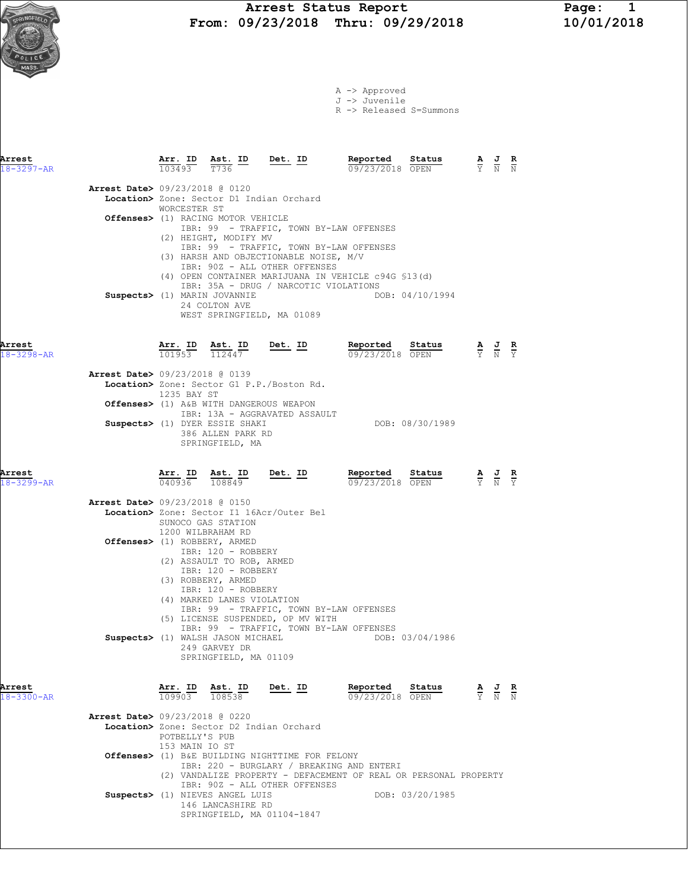

A -> Approved J -> Juvenile

R -> Released S=Summons

| Arrest<br>$18 - 3297 - AR$ |                                          | Arr. ID Ast. ID<br>103493        | T736                                                                                                              | Det. ID                                                                                                             | Reported<br>09/23/2018 OPEN                                                                                   | Status          | $\frac{\mathbf{A}}{\mathbf{Y}}$ $\frac{\mathbf{J}}{\mathbf{N}}$ $\frac{\mathbf{R}}{\mathbf{N}}$ |  |
|----------------------------|------------------------------------------|----------------------------------|-------------------------------------------------------------------------------------------------------------------|---------------------------------------------------------------------------------------------------------------------|---------------------------------------------------------------------------------------------------------------|-----------------|-------------------------------------------------------------------------------------------------|--|
|                            | <b>Arrest Date&gt;</b> 09/23/2018 @ 0120 | WORCESTER ST                     | <b>Offenses&gt;</b> (1) RACING MOTOR VEHICLE<br>(2) HEIGHT, MODIFY MV                                             | Location> Zone: Sector D1 Indian Orchard<br>(3) HARSH AND OBJECTIONABLE NOISE, M/V<br>IBR: 90Z - ALL OTHER OFFENSES | IBR: 99 - TRAFFIC, TOWN BY-LAW OFFENSES<br>IBR: 99 - TRAFFIC, TOWN BY-LAW OFFENSES                            |                 |                                                                                                 |  |
|                            | Suspects> (1) MARIN JOVANNIE             |                                  | 24 COLTON AVE                                                                                                     | IBR: 35A - DRUG / NARCOTIC VIOLATIONS<br>WEST SPRINGFIELD, MA 01089                                                 | (4) OPEN CONTAINER MARIJUANA IN VEHICLE c94G \$13(d)                                                          | DOB: 04/10/1994 |                                                                                                 |  |
| Arrest<br>18-3298-AR       |                                          | Arr. ID<br>$\frac{101953}{ }$    | <u>Ast. ID</u><br>112447                                                                                          | <u>Det. ID</u>                                                                                                      | Reported<br>09/23/2018 OPEN                                                                                   | Sta <u>tus</u>  | $\frac{\mathbf{A}}{\mathbf{Y}}$ $\frac{\mathbf{J}}{\mathbf{N}}$ $\frac{\mathbf{R}}{\mathbf{Y}}$ |  |
|                            | Arrest Date> 09/23/2018 @ 0139           | 1235 BAY ST                      |                                                                                                                   | Location> Zone: Sector G1 P.P./Boston Rd.                                                                           |                                                                                                               |                 |                                                                                                 |  |
|                            |                                          |                                  | Offenses> (1) A&B WITH DANGEROUS WEAPON<br>Suspects> (1) DYER ESSIE SHAKI<br>386 ALLEN PARK RD<br>SPRINGFIELD, MA | IBR: 13A - AGGRAVATED ASSAULT                                                                                       |                                                                                                               | DOB: 08/30/1989 |                                                                                                 |  |
| Arrest<br>18-3299-AR       |                                          |                                  | $\frac{\texttt{Arr.}}{040936}$ $\frac{\texttt{Ab.}}{108849}$                                                      | <u>Det. ID</u>                                                                                                      | Reported<br>09/23/2018 OPEN                                                                                   | Status          | $\frac{\mathbf{A}}{\mathbf{Y}}$ $\frac{\mathbf{J}}{\mathbf{N}}$ $\frac{\mathbf{R}}{\mathbf{Y}}$ |  |
|                            | <b>Arrest Date&gt; 09/23/2018 @ 0150</b> | 1200 WILBRAHAM RD                | SUNOCO GAS STATION                                                                                                | Location> Zone: Sector I1 16Acr/Outer Bel                                                                           |                                                                                                               |                 |                                                                                                 |  |
|                            | Offenses> (1) ROBBERY, ARMED             |                                  | IBR: 120 - ROBBERY<br>(2) ASSAULT TO ROB, ARMED<br>IBR: 120 - ROBBERY<br>(3) ROBBERY, ARMED                       |                                                                                                                     |                                                                                                               |                 |                                                                                                 |  |
|                            |                                          |                                  | IBR: 120 - ROBBERY<br>(4) MARKED LANES VIOLATION                                                                  | (5) LICENSE SUSPENDED, OP MV WITH<br>Suspects> (1) WALSH JASON MICHAEL                                              | IBR: 99 - TRAFFIC, TOWN BY-LAW OFFENSES<br>IBR: 99 - TRAFFIC, TOWN BY-LAW OFFENSES                            | DOB: 03/04/1986 |                                                                                                 |  |
|                            |                                          |                                  | 249 GARVEY DR<br>SPRINGFIELD, MA 01109                                                                            |                                                                                                                     |                                                                                                               |                 |                                                                                                 |  |
| Arrest<br>$18 - 3300 - AR$ |                                          | Arr. ID<br>109903                | $\frac{\text{Ast. ID}}{108538}$                                                                                   | Det. ID                                                                                                             | Reported<br>09/23/2018 OPEN                                                                                   | Status          | $\frac{\mathbf{A}}{\mathbf{Y}}$ $\frac{\mathbf{J}}{\mathbf{N}}$ $\frac{\mathbf{R}}{\mathbf{N}}$ |  |
|                            | <b>Arrest Date&gt; 09/23/2018 @ 0220</b> | POTBELLY'S PUB<br>153 MAIN IO ST |                                                                                                                   | Location> Zone: Sector D2 Indian Orchard                                                                            |                                                                                                               |                 |                                                                                                 |  |
|                            |                                          |                                  |                                                                                                                   | <b>Offenses&gt;</b> (1) B&E BUILDING NIGHTTIME FOR FELONY<br>IBR: 90Z - ALL OTHER OFFENSES                          | IBR: 220 - BURGLARY / BREAKING AND ENTERI<br>(2) VANDALIZE PROPERTY - DEFACEMENT OF REAL OR PERSONAL PROPERTY |                 |                                                                                                 |  |
|                            |                                          |                                  | Suspects> (1) NIEVES ANGEL LUIS<br>146 LANCASHIRE RD                                                              | SPRINGFIELD, MA 01104-1847                                                                                          |                                                                                                               | DOB: 03/20/1985 |                                                                                                 |  |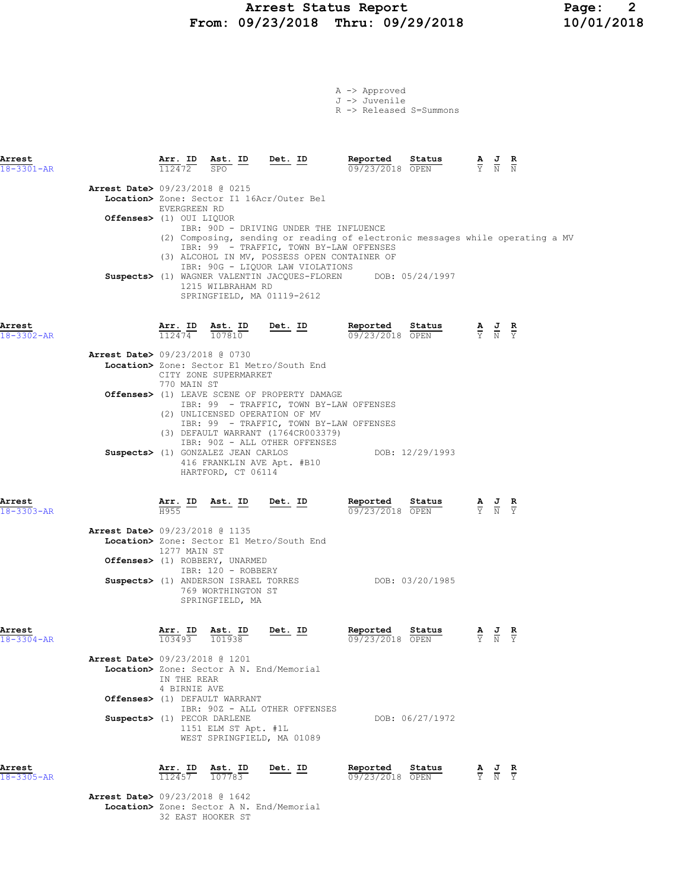# Arrest Status Report Page: 2 From: 09/23/2018 Thru: 09/29/2018

|  | $A \rightarrow$ Approved |  |
|--|--------------------------|--|
|  | J -> Juvenile            |  |
|  | $D = \sqrt{D}$           |  |

|  | . −> Released S=Summons |
|--|-------------------------|
|  |                         |

| Arrest<br>$18 - 3301 - AR$                                                                                        |                                                             | $\frac{\texttt{Arr.}}{112472}$ $\frac{\texttt{Ast.}}{\texttt{SPO}}$ $\frac{\texttt{ID}}{\texttt{O}}$ $\frac{\texttt{Det.}}{\texttt{D}}$ |           |                                                                            | Reported<br>09/23/2018 OPEN                                                                                                                             | Status                                                                                                                                                                                                                                                                                                                                                | $\overline{Y}$ $\overline{N}$ $\overline{N}$                                                    |                                                                               |
|-------------------------------------------------------------------------------------------------------------------|-------------------------------------------------------------|-----------------------------------------------------------------------------------------------------------------------------------------|-----------|----------------------------------------------------------------------------|---------------------------------------------------------------------------------------------------------------------------------------------------------|-------------------------------------------------------------------------------------------------------------------------------------------------------------------------------------------------------------------------------------------------------------------------------------------------------------------------------------------------------|-------------------------------------------------------------------------------------------------|-------------------------------------------------------------------------------|
| <b>Arrest Date&gt;</b> 09/23/2018 @ 0215<br>Location> Zone: Sector I1 16Acr/Outer Bel<br>Offenses> (1) OUI LIQUOR | EVERGREEN RD                                                | 1215 WILBRAHAM RD<br>SPRINGFIELD, MA 01119-2612                                                                                         |           | IBR: 90D - DRIVING UNDER THE INFLUENCE<br>IBR: 90G - LIQUOR LAW VIOLATIONS | IBR: 99 - TRAFFIC, TOWN BY-LAW OFFENSES<br>(3) ALCOHOL IN MV, POSSESS OPEN CONTAINER OF<br>Suspects> (1) WAGNER VALENTIN JACQUES-FLOREN DOB: 05/24/1997 |                                                                                                                                                                                                                                                                                                                                                       |                                                                                                 | (2) Composing, sending or reading of electronic messages while operating a MV |
| Arrest<br>18-3302-AR                                                                                              | $\frac{\texttt{Arr.}}{112474}$ $\frac{\texttt{ID}}{107810}$ |                                                                                                                                         | $Det. ID$ |                                                                            | Reported                                                                                                                                                | Status<br><b>R</b><br>$\frac{\text{seportea}}{09/23/2018}$ <b>Status A J R</b><br>$\overline{Y}$ <b>N</b> $\overline{Y}$                                                                                                                                                                                                                              |                                                                                                 |                                                                               |
| <b>Arrest Date&gt; 09/23/2018 @ 0730</b><br>Location> Zone: Sector E1 Metro/South End                             | 770 MAIN ST                                                 | CITY ZONE SUPERMARKET                                                                                                                   |           |                                                                            |                                                                                                                                                         |                                                                                                                                                                                                                                                                                                                                                       |                                                                                                 |                                                                               |
| Offenses> (1) LEAVE SCENE OF PROPERTY DAMAGE                                                                      |                                                             | (2) UNLICENSED OPERATION OF MV                                                                                                          |           | (3) DEFAULT WARRANT (1764CR003379)<br>IBR: 90Z - ALL OTHER OFFENSES        | IBR: 99 - TRAFFIC, TOWN BY-LAW OFFENSES<br>IBR: 99 - TRAFFIC, TOWN BY-LAW OFFENSES                                                                      |                                                                                                                                                                                                                                                                                                                                                       |                                                                                                 |                                                                               |
|                                                                                                                   |                                                             | HARTFORD, CT 06114                                                                                                                      |           | Suspects> (1) GONZALEZ JEAN CARLOS<br>416 FRANKLIN AVE Apt. #B10           |                                                                                                                                                         | DOB: 12/29/1993                                                                                                                                                                                                                                                                                                                                       |                                                                                                 |                                                                               |
| Arrest<br>$18 - 3303 - AR$                                                                                        | H955                                                        | Arr. ID Ast. ID Det. ID                                                                                                                 |           |                                                                            | Reported Status                                                                                                                                         | <b>Reported Status A J R</b> $\frac{1}{0.9}$ <b>C</b> $\frac{1}{2.0}$ <b>C</b> $\frac{1}{2}$ <b>C</b> $\frac{1}{2}$ <b>C</b> $\frac{1}{2}$ <b>C</b> $\frac{1}{2}$ <b>C</b> $\frac{1}{2}$ <b>C</b> $\frac{1}{2}$ <b>C</b> $\frac{1}{2}$ <b>C</b> $\frac{1}{2}$ <b>C</b> $\frac{1}{2}$ <b>C</b> $\frac{1}{2}$ <b>C</b> $\frac{1}{2}$ <b>C</b> $\frac{1$ |                                                                                                 |                                                                               |
| Arrest Date> 09/23/2018 @ 1135<br>Location> Zone: Sector E1 Metro/South End<br>Offenses> (1) ROBBERY, UNARMED     | 1277 MAIN ST                                                |                                                                                                                                         |           |                                                                            |                                                                                                                                                         |                                                                                                                                                                                                                                                                                                                                                       |                                                                                                 |                                                                               |
| Suspects> (1) ANDERSON ISRAEL TORRES                                                                              |                                                             | IBR: 120 - ROBBERY<br>769 WORTHINGTON ST<br>SPRINGFIELD, MA                                                                             |           |                                                                            | DOB: 03/20/1985                                                                                                                                         |                                                                                                                                                                                                                                                                                                                                                       |                                                                                                 |                                                                               |
| Arrest<br>$18 - 3304 - AR$                                                                                        | Arr. ID<br>103493                                           | Ast. ID<br>101938                                                                                                                       | Det. ID   |                                                                            | Reported<br>09/23/2018 OPEN                                                                                                                             | Status                                                                                                                                                                                                                                                                                                                                                | $\frac{\mathbf{A}}{\mathbf{Y}}$ $\frac{\mathbf{J}}{\mathbf{N}}$ $\frac{\mathbf{R}}{\mathbf{Y}}$ |                                                                               |
| Arrest Date> 09/23/2018 @ 1201<br>Location> Zone: Sector A N. End/Memorial                                        | IN THE REAR<br>4 BIRNIE AVE                                 |                                                                                                                                         |           |                                                                            |                                                                                                                                                         |                                                                                                                                                                                                                                                                                                                                                       |                                                                                                 |                                                                               |
| Offenses> (1) DEFAULT WARRANT<br>Suspects> (1) PECOR DARLENE                                                      |                                                             | 1151 ELM ST Apt. #1L<br>WEST SPRINGFIELD, MA 01089                                                                                      |           | IBR: 90Z - ALL OTHER OFFENSES                                              |                                                                                                                                                         | DOB: 06/27/1972                                                                                                                                                                                                                                                                                                                                       |                                                                                                 |                                                                               |
| Arrest<br>18-3305-AR                                                                                              | Arr. ID                                                     | Ast. ID<br>112457 107783                                                                                                                | Det. ID   |                                                                            | Reported<br>09/23/2018 OPEN                                                                                                                             | Status                                                                                                                                                                                                                                                                                                                                                | $\frac{\mathbf{A}}{\mathbf{Y}}$ $\frac{\mathbf{J}}{\mathbf{N}}$ $\frac{\mathbf{R}}{\mathbf{Y}}$ |                                                                               |

Arrest Date> 09/23/2018 @ 1642

Location> Zone: Sector A N. End/Memorial

32 EAST HOOKER ST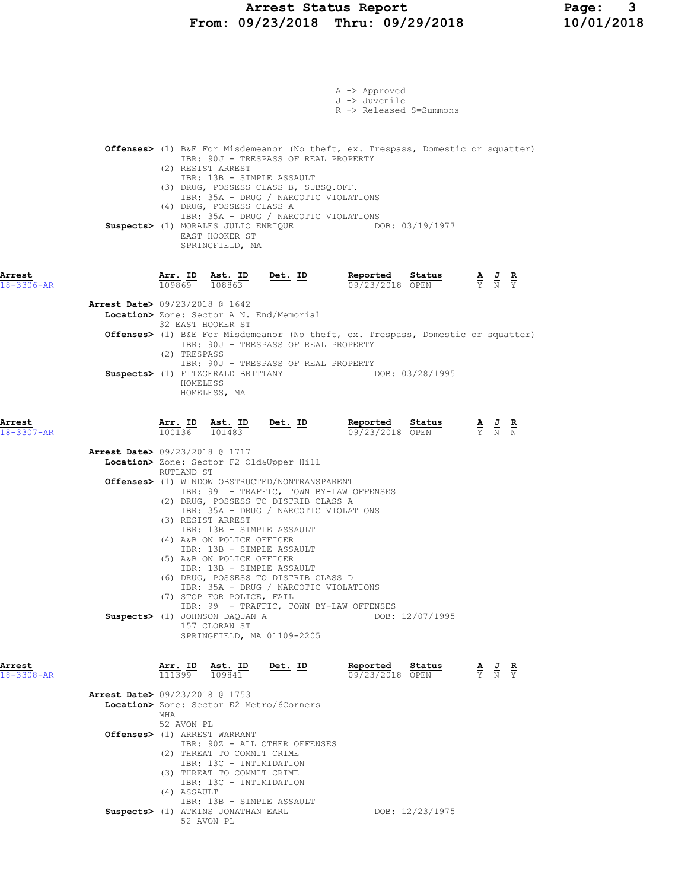|                      | A -> Approved                                                                                                                                                                         |                                                                                                       |
|----------------------|---------------------------------------------------------------------------------------------------------------------------------------------------------------------------------------|-------------------------------------------------------------------------------------------------------|
|                      | J -> Juvenile                                                                                                                                                                         |                                                                                                       |
|                      | R -> Released S=Summons                                                                                                                                                               |                                                                                                       |
|                      |                                                                                                                                                                                       |                                                                                                       |
|                      | <b>Offenses&gt;</b> (1) B&E For Misdemeanor (No theft, ex. Trespass, Domestic or squatter)                                                                                            |                                                                                                       |
|                      | IBR: 90J - TRESPASS OF REAL PROPERTY<br>(2) RESIST ARREST                                                                                                                             |                                                                                                       |
|                      | IBR: 13B - SIMPLE ASSAULT<br>(3) DRUG, POSSESS CLASS B, SUBSQ.OFF.                                                                                                                    |                                                                                                       |
|                      | IBR: 35A - DRUG / NARCOTIC VIOLATIONS                                                                                                                                                 |                                                                                                       |
|                      | (4) DRUG, POSSESS CLASS A<br>IBR: 35A - DRUG / NARCOTIC VIOLATIONS                                                                                                                    |                                                                                                       |
|                      | Suspects> (1) MORALES JULIO ENRIQUE DOB: 03/19/1977                                                                                                                                   |                                                                                                       |
|                      | EAST HOOKER ST<br>SPRINGFIELD, MA                                                                                                                                                     |                                                                                                       |
|                      |                                                                                                                                                                                       |                                                                                                       |
| Arrest               | <b>Reported</b> Status $\frac{A}{0.977772018}$ $\frac{B}{0.0987}$ $\frac{C}{Y}$ $\frac{C}{Y}$ $\frac{C}{Y}$<br>$\frac{\texttt{Arr.}}{109869}$ $\frac{\texttt{ Ast.}}{108863}$ Det. ID |                                                                                                       |
| $18 - 3306 - AR$     | 09/23/2018 OPEN                                                                                                                                                                       |                                                                                                       |
|                      | Arrest Date> 09/23/2018 @ 1642                                                                                                                                                        |                                                                                                       |
|                      | Location> Zone: Sector A N. End/Memorial<br>32 EAST HOOKER ST                                                                                                                         |                                                                                                       |
|                      | <b>Offenses&gt;</b> (1) B&E For Misdemeanor (No theft, ex. Trespass, Domestic or squatter)<br>IBR: 90J - TRESPASS OF REAL PROPERTY                                                    |                                                                                                       |
|                      | (2) TRESPASS                                                                                                                                                                          |                                                                                                       |
|                      | IBR: 90J - TRESPASS OF REAL PROPERTY<br>Suspects> (1) FITZGERALD BRITTANY DOB: 03/28/1995                                                                                             |                                                                                                       |
|                      | HOMELESS                                                                                                                                                                              |                                                                                                       |
|                      | HOMELESS, MA                                                                                                                                                                          |                                                                                                       |
| Arrest               |                                                                                                                                                                                       |                                                                                                       |
| 18-3307-AR           | $\frac{\texttt{Arr. ID}}{100136}$ $\frac{\texttt{ Ast. ID}}{101483}$ Det. ID<br>Reported Status<br>09/23/2018 OPEN                                                                    | $\frac{\mathbf{A}}{\overline{Y}}$ $\frac{\mathbf{J}}{\overline{N}}$ $\frac{\mathbf{R}}{\overline{N}}$ |
|                      | <b>Arrest Date&gt;</b> 09/23/2018 @ 1717                                                                                                                                              |                                                                                                       |
|                      | Location> Zone: Sector F2 Old&Upper Hill<br>RUTLAND ST                                                                                                                                |                                                                                                       |
|                      | <b>Offenses&gt;</b> (1) WINDOW OBSTRUCTED/NONTRANSPARENT                                                                                                                              |                                                                                                       |
|                      | IBR: 99 - TRAFFIC, TOWN BY-LAW OFFENSES<br>(2) DRUG, POSSESS TO DISTRIB CLASS A                                                                                                       |                                                                                                       |
|                      | IBR: 35A - DRUG / NARCOTIC VIOLATIONS                                                                                                                                                 |                                                                                                       |
|                      | (3) RESIST ARREST<br>IBR: 13B - SIMPLE ASSAULT                                                                                                                                        |                                                                                                       |
|                      | (4) A&B ON POLICE OFFICER<br>IBR: 13B - SIMPLE ASSAULT                                                                                                                                |                                                                                                       |
|                      | (5) A&B ON POLICE OFFICER                                                                                                                                                             |                                                                                                       |
|                      | IBR: 13B - SIMPLE ASSAULT<br>(6) DRUG, POSSESS TO DISTRIB CLASS D                                                                                                                     |                                                                                                       |
|                      | IBR: 35A - DRUG / NARCOTIC VIOLATIONS<br>(7) STOP FOR POLICE, FAIL                                                                                                                    |                                                                                                       |
|                      | IBR: 99 - TRAFFIC, TOWN BY-LAW OFFENSES                                                                                                                                               |                                                                                                       |
|                      | Suspects> (1) JOHNSON DAQUAN A<br>DOB: 12/07/1995<br>157 CLORAN ST                                                                                                                    |                                                                                                       |
|                      | SPRINGFIELD, MA 01109-2205                                                                                                                                                            |                                                                                                       |
|                      |                                                                                                                                                                                       |                                                                                                       |
| Arrest<br>18-3308-AR | Det. ID<br>Reported<br>Arr. ID Ast. ID<br>Status<br>111399<br>109841<br>09/23/2018 OPEN                                                                                               | $\frac{\mathbf{A}}{\mathbf{Y}}$ $\frac{\mathbf{J}}{\mathbf{N}}$<br>$\frac{R}{Y}$                      |
|                      |                                                                                                                                                                                       |                                                                                                       |
|                      | <b>Arrest Date&gt;</b> 09/23/2018 @ 1753<br>Location> Zone: Sector E2 Metro/6Corners                                                                                                  |                                                                                                       |
|                      | MHA                                                                                                                                                                                   |                                                                                                       |
|                      | 52 AVON PL<br>Offenses> (1) ARREST WARRANT                                                                                                                                            |                                                                                                       |
|                      | IBR: 90Z - ALL OTHER OFFENSES<br>(2) THREAT TO COMMIT CRIME                                                                                                                           |                                                                                                       |
|                      | IBR: 13C - INTIMIDATION                                                                                                                                                               |                                                                                                       |
|                      | (3) THREAT TO COMMIT CRIME<br>IBR: 13C - INTIMIDATION                                                                                                                                 |                                                                                                       |
|                      | (4) ASSAULT<br>IBR: 13B - SIMPLE ASSAULT                                                                                                                                              |                                                                                                       |
|                      | Suspects> (1) ATKINS JONATHAN EARL<br>DOB: 12/23/1975                                                                                                                                 |                                                                                                       |
|                      | 52 AVON PL                                                                                                                                                                            |                                                                                                       |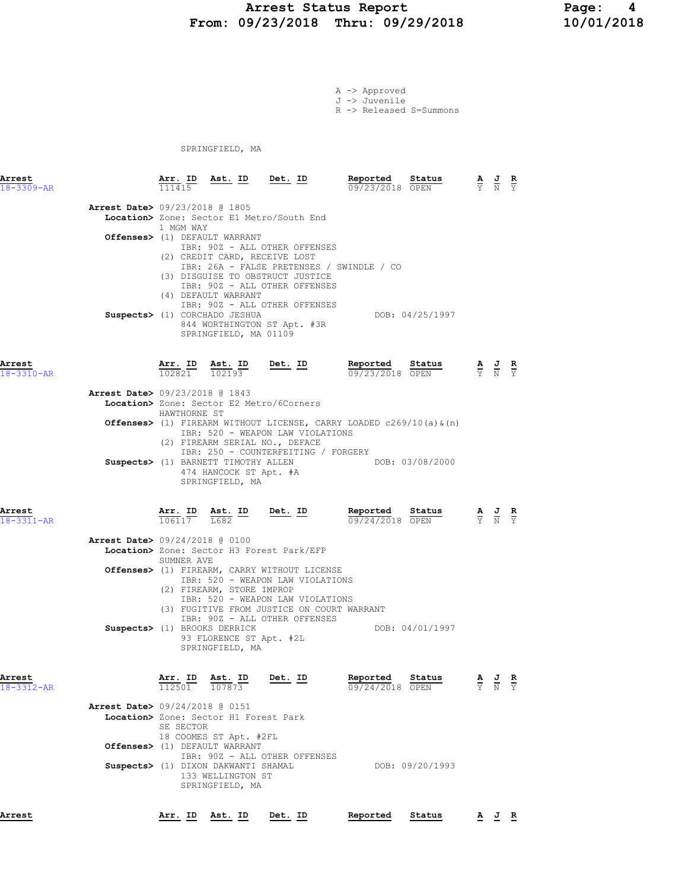### Arrest Status Report Page: 4 From: 09/23/2018 Thru: 09/29/2018 10/01/2018

A -> Approved J -> Juvenile R -> Released S=Summons

SPRINGFIELD, MA

| Arrest<br>$18 - 3309 - AR$ |                                | 111415       | <u>Arr. ID Ast. ID Det. ID</u>                                                                                                                  |                                                                                                                                                                                                                                               | Reported<br>09/23/2018 OPEN                                                                                                              | Status          |                             |                                                                 | $\overline{v}$ |
|----------------------------|--------------------------------|--------------|-------------------------------------------------------------------------------------------------------------------------------------------------|-----------------------------------------------------------------------------------------------------------------------------------------------------------------------------------------------------------------------------------------------|------------------------------------------------------------------------------------------------------------------------------------------|-----------------|-----------------------------|-----------------------------------------------------------------|----------------|
|                            | Arrest Date> 09/23/2018 @ 1805 | 1 MGM WAY    | Offenses> (1) DEFAULT WARRANT<br>(2) CREDIT CARD, RECEIVE LOST<br>(4) DEFAULT WARRANT<br>Suspects> (1) CORCHADO JESHUA<br>SPRINGFIELD, MA 01109 | Location> Zone: Sector E1 Metro/South End<br>IBR: 90Z - ALL OTHER OFFENSES<br>(3) DISGUISE TO OBSTRUCT JUSTICE<br>IBR: 90Z - ALL OTHER OFFENSES<br>IBR: 90Z - ALL OTHER OFFENSES<br>844 WORTHINGTON ST Apt. #3R                               | IBR: 26A - FALSE PRETENSES / SWINDLE / CO                                                                                                | DOB: 04/25/1997 |                             |                                                                 |                |
| Arrest<br>$18 - 3310 - AR$ |                                |              |                                                                                                                                                 |                                                                                                                                                                                                                                               | <b>Arr. ID</b> Ast. ID Det. ID Reported Status $\frac{102821}{102821}$ $\frac{102193}{102193}$ Det. ID $\frac{109723}{20972372018}$ OPEN |                 |                             |                                                                 |                |
|                            | Arrest Date> 09/23/2018 @ 1843 | HAWTHORNE ST |                                                                                                                                                 | Location> Zone: Sector E2 Metro/6Corners                                                                                                                                                                                                      |                                                                                                                                          |                 |                             |                                                                 |                |
|                            |                                |              |                                                                                                                                                 | IBR: 520 - WEAPON LAW VIOLATIONS<br>(2) FIREARM SERIAL NO., DEFACE<br>IBR: 250 - COUNTERFEITING / FORGERY                                                                                                                                     | <b>Offenses&gt;</b> (1) FIREARM WITHOUT LICENSE, CARRY LOADED c269/10(a) $\alpha$ (n)                                                    |                 |                             |                                                                 |                |
|                            |                                |              | Suspects> (1) BARNETT TIMOTHY ALLEN<br>474 HANCOCK ST Apt. #A<br>SPRINGFIELD, MA                                                                |                                                                                                                                                                                                                                               | DOB: 03/08/2000                                                                                                                          |                 |                             |                                                                 |                |
| Arrest<br>18-3311-AR       |                                |              |                                                                                                                                                 | $\frac{\texttt{Arr. ID}}{106117}$ $\frac{\texttt{ Ast. ID}}{1682}$ $\frac{\texttt{Det. ID}}{106117}$                                                                                                                                          | Reported Status<br>09/24/2018 OPEN                                                                                                       |                 | $\frac{A}{Y}$ $\frac{C}{N}$ |                                                                 |                |
|                            | Arrest Date> 09/24/2018 @ 0100 | SUMNER AVE   |                                                                                                                                                 | Location> Zone: Sector H3 Forest Park/EFP                                                                                                                                                                                                     |                                                                                                                                          |                 |                             |                                                                 |                |
|                            |                                |              | (2) FIREARM, STORE IMPROP                                                                                                                       | <b>Offenses&gt;</b> (1) FIREARM, CARRY WITHOUT LICENSE<br>IBR: 520 - WEAPON LAW VIOLATIONS<br>IBR: 520 - WEAPON LAW VIOLATIONS<br>(3) FUGITIVE FROM JUSTICE ON COURT WARRANT<br>IBR: 90Z - ALL OTHER OFFENSES<br>Suspects> (1) BROOKS DERRICK |                                                                                                                                          | DOB: 04/01/1997 |                             |                                                                 |                |
|                            |                                |              | 93 FLORENCE ST Apt. #2L<br>SPRINGFIELD, MA                                                                                                      |                                                                                                                                                                                                                                               |                                                                                                                                          |                 |                             |                                                                 |                |
| Arrest<br>$18 - 3312 - AR$ |                                | 112501       | Ast. ID<br>107873                                                                                                                               | Det. ID                                                                                                                                                                                                                                       | Reported Status<br>09/24/2018 OPEN                                                                                                       |                 |                             | $\frac{\mathbf{A}}{\mathbf{Y}}$ $\frac{\mathbf{J}}{\mathbf{N}}$ | $\overline{Y}$ |
|                            | Arrest Date> 09/24/2018 @ 0151 | SE SECTOR    | Location> Zone: Sector H1 Forest Park<br>18 COOMES ST Apt. #2FL<br>Offenses> (1) DEFAULT WARRANT                                                |                                                                                                                                                                                                                                               |                                                                                                                                          |                 |                             |                                                                 |                |
|                            |                                |              | Suspects> (1) DIXON DAKWANTI SHAMAL<br>133 WELLINGTON ST<br>SPRINGFIELD, MA                                                                     | IBR: 90Z - ALL OTHER OFFENSES                                                                                                                                                                                                                 |                                                                                                                                          | DOB: 09/20/1993 |                             |                                                                 |                |
| Arrest                     |                                |              | Arr. ID Ast. ID Det. ID                                                                                                                         |                                                                                                                                                                                                                                               | Reported                                                                                                                                 | Status          |                             | A J R                                                           |                |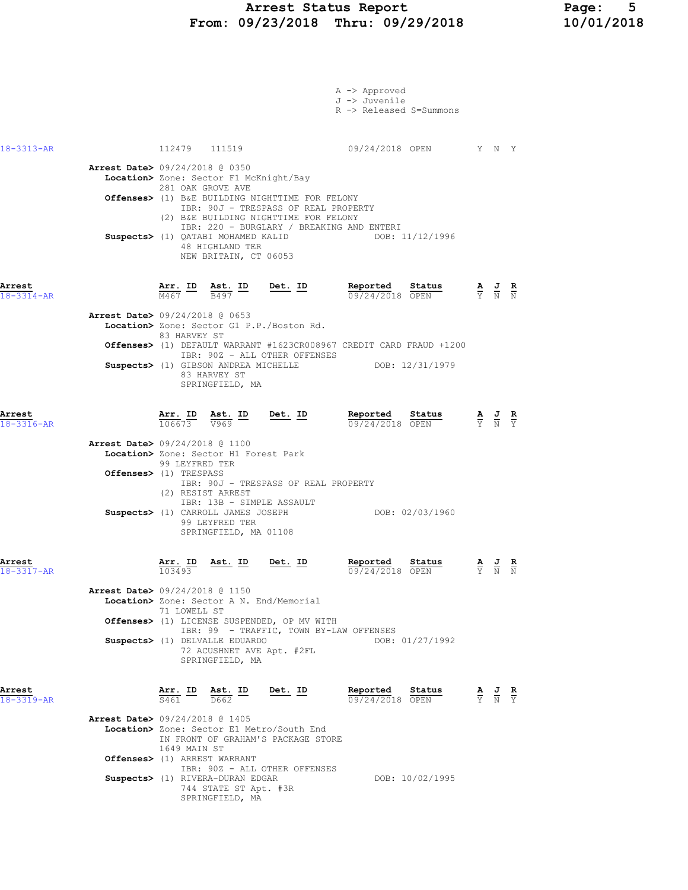| 18-3313-AR<br>112479 111519<br>09/24/2018 OPEN Y N Y<br><b>Arrest Date&gt; 09/24/2018 @ 0350</b><br>Location> Zone: Sector F1 McKnight/Bay<br>281 OAK GROVE AVE<br>Offenses> (1) B&E BUILDING NIGHTTIME FOR FELONY<br>IBR: 90J - TRESPASS OF REAL PROPERTY<br>(2) B&E BUILDING NIGHTTIME FOR FELONY<br>IBR: 220 - BURGLARY / BREAKING AND ENTERI<br>Suspects> (1) QATABI MOHAMED KALID<br>DOB: 11/12/1996<br>48 HIGHLAND TER<br>NEW BRITAIN, CT 06053<br>Arrest<br>$\frac{\texttt{Arr.}}{\texttt{M467}}$ ID $\frac{\texttt{Ast.}}{\texttt{B497}}$ ID Det. ID<br>Reported Status<br>$\frac{\mathbf{A}}{\mathrm{Y}}$ $\frac{\mathbf{J}}{\mathrm{N}}$ $\frac{\mathbf{R}}{\mathrm{N}}$<br>09/24/2018 OPEN<br>$18 - 3314 - AR$<br>Arrest Date> 09/24/2018 @ 0653<br>Location> Zone: Sector G1 P.P./Boston Rd.<br>83 HARVEY ST<br>Offenses> (1) DEFAULT WARRANT #1623CR008967 CREDIT CARD FRAUD +1200<br>IBR: 90Z - ALL OTHER OFFENSES<br>Suspects> (1) GIBSON ANDREA MICHELLE DOB: 12/31/1979<br>83 HARVEY ST<br>SPRINGFIELD, MA |  |
|-----------------------------------------------------------------------------------------------------------------------------------------------------------------------------------------------------------------------------------------------------------------------------------------------------------------------------------------------------------------------------------------------------------------------------------------------------------------------------------------------------------------------------------------------------------------------------------------------------------------------------------------------------------------------------------------------------------------------------------------------------------------------------------------------------------------------------------------------------------------------------------------------------------------------------------------------------------------------------------------------------------------------------|--|
|                                                                                                                                                                                                                                                                                                                                                                                                                                                                                                                                                                                                                                                                                                                                                                                                                                                                                                                                                                                                                             |  |
|                                                                                                                                                                                                                                                                                                                                                                                                                                                                                                                                                                                                                                                                                                                                                                                                                                                                                                                                                                                                                             |  |
|                                                                                                                                                                                                                                                                                                                                                                                                                                                                                                                                                                                                                                                                                                                                                                                                                                                                                                                                                                                                                             |  |
|                                                                                                                                                                                                                                                                                                                                                                                                                                                                                                                                                                                                                                                                                                                                                                                                                                                                                                                                                                                                                             |  |
| Arrest<br>Arr. ID Ast. ID<br>Det. ID<br>Reported<br>Status<br>$\frac{\mathbf{A}}{\mathbf{Y}}$ $\frac{\mathbf{J}}{\mathbf{N}}$ $\frac{\mathbf{R}}{\mathbf{Y}}$<br>$\overline{V969}$<br>09/24/2018 OPEN<br>106673<br>$18 - 3316 - AR$                                                                                                                                                                                                                                                                                                                                                                                                                                                                                                                                                                                                                                                                                                                                                                                         |  |
| Arrest Date> 09/24/2018 @ 1100<br>Location> Zone: Sector H1 Forest Park<br>99 LEYFRED TER<br>Offenses> (1) TRESPASS<br>IBR: 90J - TRESPASS OF REAL PROPERTY<br>(2) RESIST ARREST<br>IBR: 13B - SIMPLE ASSAULT<br>Suspects> (1) CARROLL JAMES JOSEPH DOB: 02/03/1960<br>99 LEYFRED TER<br>SPRINGFIELD, MA 01108                                                                                                                                                                                                                                                                                                                                                                                                                                                                                                                                                                                                                                                                                                              |  |
| Arrest<br>Ast. ID<br>Det. ID<br>Reported<br>Status<br>Arr. ID<br>$\frac{\mathbf{A}}{\mathbf{Y}}$ $\frac{\mathbf{J}}{\mathbf{N}}$ $\frac{\mathbf{R}}{\mathbf{N}}$<br>103493<br>09/24/2018 OPEN<br>$18 - 3317 - AR$                                                                                                                                                                                                                                                                                                                                                                                                                                                                                                                                                                                                                                                                                                                                                                                                           |  |
| Arrest Date> 09/24/2018 @ 1150<br>Location> Zone: Sector A N. End/Memorial<br>71 LOWELL ST<br>Offenses> (1) LICENSE SUSPENDED, OP MV WITH<br>IBR: 99 - TRAFFIC, TOWN BY-LAW OFFENSES<br>Suspects> (1) DELVALLE EDUARDO<br>DOB: 01/27/1992<br>72 ACUSHNET AVE Apt. #2FL<br>SPRINGFIELD, MA                                                                                                                                                                                                                                                                                                                                                                                                                                                                                                                                                                                                                                                                                                                                   |  |
| Reported<br>Arrest<br><u>Arr. ID</u><br><u>Det. ID</u><br>Status<br><u>Ast. ID</u><br>$\frac{\mathbf{A}}{\mathbf{Y}}$ $\frac{\mathbf{J}}{\mathbf{N}}$ $\frac{\mathbf{R}}{\mathbf{Y}}$<br>S461<br>09/24/2018 OPEN<br>18-3319-AR<br>D662                                                                                                                                                                                                                                                                                                                                                                                                                                                                                                                                                                                                                                                                                                                                                                                      |  |
| Arrest Date> 09/24/2018 @ 1405<br>Location> Zone: Sector E1 Metro/South End<br>IN FRONT OF GRAHAM'S PACKAGE STORE                                                                                                                                                                                                                                                                                                                                                                                                                                                                                                                                                                                                                                                                                                                                                                                                                                                                                                           |  |
| 1649 MAIN ST<br>Offenses> (1) ARREST WARRANT                                                                                                                                                                                                                                                                                                                                                                                                                                                                                                                                                                                                                                                                                                                                                                                                                                                                                                                                                                                |  |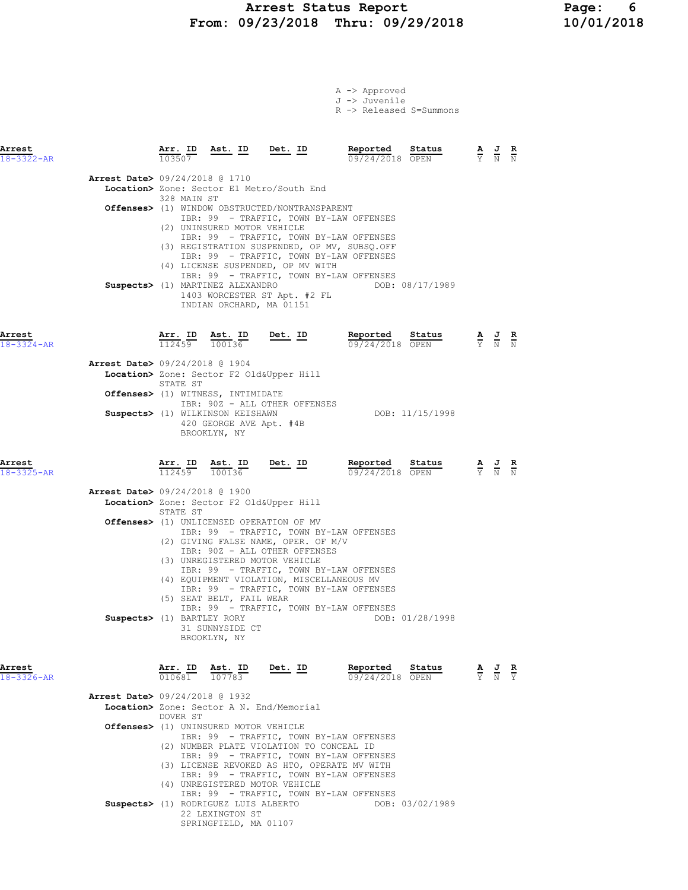#### Arrest Status Report Page: 6 From: 09/23/2018 Thru: 09/29/2018 10/01/2018

A -> Approved J -> Juvenile

|                            |                                          |                          |                                                                             |                                                                                                        | R -> Released S=Summons                                                                                                            |                 |                                                                                                 |                                                                                                 |  |
|----------------------------|------------------------------------------|--------------------------|-----------------------------------------------------------------------------|--------------------------------------------------------------------------------------------------------|------------------------------------------------------------------------------------------------------------------------------------|-----------------|-------------------------------------------------------------------------------------------------|-------------------------------------------------------------------------------------------------|--|
| Arrest<br>$18 - 3322 - AR$ |                                          | 103507                   |                                                                             | <u>Arr. ID Ast. ID Det. ID</u>                                                                         | Reported Status<br>09/24/2018 OPEN                                                                                                 |                 | $\frac{\mathbf{A}}{\mathbf{Y}}$ $\frac{\mathbf{J}}{\mathbf{N}}$ $\frac{\mathbf{R}}{\mathbf{N}}$ |                                                                                                 |  |
|                            | <b>Arrest Date&gt;</b> 09/24/2018 @ 1710 |                          |                                                                             | Location> Zone: Sector E1 Metro/South End                                                              |                                                                                                                                    |                 |                                                                                                 |                                                                                                 |  |
|                            |                                          | 328 MAIN ST              | (2) UNINSURED MOTOR VEHICLE                                                 | <b>Offenses&gt;</b> (1) WINDOW OBSTRUCTED/NONTRANSPARENT                                               | IBR: 99 - TRAFFIC, TOWN BY-LAW OFFENSES                                                                                            |                 |                                                                                                 |                                                                                                 |  |
|                            |                                          |                          |                                                                             |                                                                                                        | IBR: 99 - TRAFFIC, TOWN BY-LAW OFFENSES<br>(3) REGISTRATION SUSPENDED, OP MV, SUBSQ.OFF<br>IBR: 99 - TRAFFIC, TOWN BY-LAW OFFENSES |                 |                                                                                                 |                                                                                                 |  |
|                            |                                          |                          | Suspects> (1) MARTINEZ ALEXANDRO                                            | (4) LICENSE SUSPENDED, OP MV WITH                                                                      | IBR: 99 - TRAFFIC, TOWN BY-LAW OFFENSES                                                                                            | DOB: 08/17/1989 |                                                                                                 |                                                                                                 |  |
|                            |                                          |                          | INDIAN ORCHARD, MA 01151                                                    | 1403 WORCESTER ST Apt. #2 FL                                                                           |                                                                                                                                    |                 |                                                                                                 |                                                                                                 |  |
| Arrest<br>$18 - 3324 - AR$ |                                          | Arr. ID                  | <u>Ast. ID</u><br>$112459$ $100136$                                         | <u>Det.</u> ID                                                                                         | Reported<br>09/24/2018 OPEN                                                                                                        | Status          |                                                                                                 | $\frac{\mathbf{A}}{\mathbf{Y}}$ $\frac{\mathbf{J}}{\mathbf{N}}$ $\frac{\mathbf{R}}{\mathbf{N}}$ |  |
|                            | <b>Arrest Date&gt;</b> 09/24/2018 @ 1904 |                          |                                                                             | Location> Zone: Sector F2 Old&Upper Hill                                                               |                                                                                                                                    |                 |                                                                                                 |                                                                                                 |  |
|                            |                                          | STATE ST                 | <b>Offenses&gt;</b> (1) WITNESS, INTIMIDATE                                 | IBR: 90Z - ALL OTHER OFFENSES                                                                          |                                                                                                                                    |                 |                                                                                                 |                                                                                                 |  |
|                            |                                          |                          | Suspects> (1) WILKINSON KEISHAWN<br>420 GEORGE AVE Apt. #4B<br>BROOKLYN, NY |                                                                                                        |                                                                                                                                    | DOB: 11/15/1998 |                                                                                                 |                                                                                                 |  |
| Arrest<br>18-3325-AR       |                                          | <u>Arr.</u> ID<br>112459 | 100136                                                                      | $\underbrace{\texttt{Ast.}}$ ID Det. ID                                                                | Reported<br>09/24/2018 OPEN                                                                                                        | Status          |                                                                                                 | $\frac{\mathbf{A}}{\mathbf{Y}}$ $\frac{\mathbf{J}}{\mathbf{N}}$ $\frac{\mathbf{R}}{\mathbf{N}}$ |  |
|                            | <b>Arrest Date&gt;</b> 09/24/2018 @ 1900 | STATE ST                 |                                                                             | Location> Zone: Sector F2 Old&Upper Hill                                                               |                                                                                                                                    |                 |                                                                                                 |                                                                                                 |  |
|                            |                                          |                          |                                                                             | <b>Offenses&gt;</b> (1) UNLICENSED OPERATION OF MV                                                     | IBR: 99 - TRAFFIC, TOWN BY-LAW OFFENSES                                                                                            |                 |                                                                                                 |                                                                                                 |  |
|                            |                                          |                          |                                                                             | (2) GIVING FALSE NAME, OPER. OF M/V<br>IBR: 90Z - ALL OTHER OFFENSES<br>(3) UNREGISTERED MOTOR VEHICLE |                                                                                                                                    |                 |                                                                                                 |                                                                                                 |  |
|                            |                                          |                          | (5) SEAT BELT, FAIL WEAR                                                    | (4) EQUIPMENT VIOLATION, MISCELLANEOUS MV                                                              | IBR: 99 - TRAFFIC, TOWN BY-LAW OFFENSES<br>IBR: 99 - TRAFFIC, TOWN BY-LAW OFFENSES                                                 |                 |                                                                                                 |                                                                                                 |  |
|                            | Suspects> (1) BARTLEY RORY               |                          | 31 SUNNYSIDE CT                                                             |                                                                                                        | IBR: 99 - TRAFFIC, TOWN BY-LAW OFFENSES                                                                                            | DOB: 01/28/1998 |                                                                                                 |                                                                                                 |  |
|                            |                                          |                          | BROOKLYN, NY                                                                |                                                                                                        |                                                                                                                                    |                 |                                                                                                 |                                                                                                 |  |
| Arrest<br>$18 - 3326 - AR$ |                                          | Arr. ID<br>010681        | Ast. ID<br>107783                                                           | Det. ID                                                                                                | Reported<br>09/24/2018 OPEN                                                                                                        | Status          |                                                                                                 | $\frac{\mathbf{A}}{\mathbf{Y}}$ $\frac{\mathbf{J}}{\mathbf{N}}$ $\frac{\mathbf{R}}{\mathbf{Y}}$ |  |
|                            | <b>Arrest Date&gt;</b> 09/24/2018 @ 1932 | DOVER ST                 |                                                                             | Location> Zone: Sector A N. End/Memorial                                                               |                                                                                                                                    |                 |                                                                                                 |                                                                                                 |  |
|                            |                                          |                          | Offenses> (1) UNINSURED MOTOR VEHICLE                                       | (2) NUMBER PLATE VIOLATION TO CONCEAL ID                                                               | IBR: 99 - TRAFFIC, TOWN BY-LAW OFFENSES                                                                                            |                 |                                                                                                 |                                                                                                 |  |
|                            |                                          |                          |                                                                             | (3) LICENSE REVOKED AS HTO, OPERATE MV WITH                                                            | IBR: 99 - TRAFFIC, TOWN BY-LAW OFFENSES<br>IBR: 99 - TRAFFIC, TOWN BY-LAW OFFENSES                                                 |                 |                                                                                                 |                                                                                                 |  |
|                            |                                          |                          | Suspects> (1) RODRIGUEZ LUIS ALBERTO                                        | (4) UNREGISTERED MOTOR VEHICLE                                                                         | IBR: 99 - TRAFFIC, TOWN BY-LAW OFFENSES                                                                                            | DOB: 03/02/1989 |                                                                                                 |                                                                                                 |  |

 22 LEXINGTON ST SPRINGFIELD, MA 01107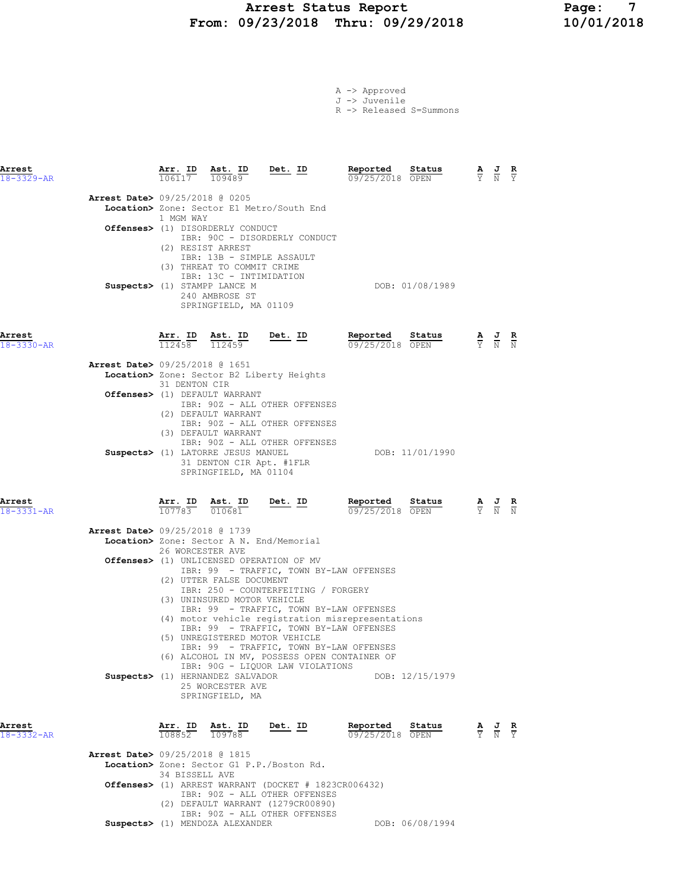# Arrest Status Report Page: 7<br>10/01/2018 Thru: 09/29/2018 10/01/2018 From: 09/23/2018 Thru: 09/29/2018

|  | A -> Approved |
|--|---------------|
|  | J -> Juvenile |

R -> Released S=Summons

| Arrest<br>18-3329-AR |                                          |                  | $\frac{\texttt{Arr.}}{106117}$ $\frac{\texttt{ Ast.}}{109489}$                                                                   | <u>Det. ID</u>                                                                                                                                                                                                                                                                             | Reported<br>09/25/2018 OPEN                       | Status          | $\frac{\mathbf{A}}{\mathbf{Y}}$ $\frac{\mathbf{J}}{\mathbf{N}}$ $\frac{\mathbf{R}}{\mathbf{Y}}$ |               |
|----------------------|------------------------------------------|------------------|----------------------------------------------------------------------------------------------------------------------------------|--------------------------------------------------------------------------------------------------------------------------------------------------------------------------------------------------------------------------------------------------------------------------------------------|---------------------------------------------------|-----------------|-------------------------------------------------------------------------------------------------|---------------|
|                      | Arrest Date> 09/25/2018 @ 0205           | 1 MGM WAY        | Offenses> (1) DISORDERLY CONDUCT<br>(2) RESIST ARREST                                                                            | Location> Zone: Sector E1 Metro/South End<br>IBR: 90C - DISORDERLY CONDUCT<br>IBR: 13B - SIMPLE ASSAULT                                                                                                                                                                                    |                                                   |                 |                                                                                                 |               |
|                      |                                          |                  | (3) THREAT TO COMMIT CRIME<br>IBR: 13C - INTIMIDATION<br>Suspects> (1) STAMPP LANCE M<br>240 AMBROSE ST<br>SPRINGFIELD, MA 01109 |                                                                                                                                                                                                                                                                                            |                                                   | DOB: 01/08/1989 |                                                                                                 |               |
| Arrest<br>18-3330-AR |                                          | 112458           | Arr. ID Ast. ID<br>112459                                                                                                        | $Det. ID$                                                                                                                                                                                                                                                                                  | Reported<br>09/25/2018 OPEN                       | Status          | $\frac{\mathbf{A}}{\mathbf{Y}}$ $\frac{\mathbf{J}}{\mathbf{N}}$                                 | $\frac{R}{N}$ |
|                      | <b>Arrest Date&gt;</b> 09/25/2018 @ 1651 | 31 DENTON CIR    |                                                                                                                                  | Location> Zone: Sector B2 Liberty Heights                                                                                                                                                                                                                                                  |                                                   |                 |                                                                                                 |               |
|                      |                                          |                  | Offenses> (1) DEFAULT WARRANT<br>(2) DEFAULT WARRANT                                                                             | IBR: 90Z - ALL OTHER OFFENSES<br>IBR: 90Z - ALL OTHER OFFENSES                                                                                                                                                                                                                             |                                                   |                 |                                                                                                 |               |
|                      |                                          |                  | (3) DEFAULT WARRANT<br>Suspects> (1) LATORRE JESUS MANUEL<br>31 DENTON CIR Apt. #1FLR<br>SPRINGFIELD, MA 01104                   | IBR: 90Z - ALL OTHER OFFENSES                                                                                                                                                                                                                                                              |                                                   | DOB: 11/01/1990 |                                                                                                 |               |
| Arrest<br>18-3331-AR |                                          |                  | Arr. ID Ast. ID<br>$107783$ $010681$                                                                                             | <u>Det. ID</u>                                                                                                                                                                                                                                                                             | Reported<br>09/25/2018 OPEN                       | Status          | $\frac{A}{Y}$ $\frac{J}{N}$                                                                     |               |
|                      | <b>Arrest Date&gt; 09/25/2018 @ 1739</b> |                  |                                                                                                                                  |                                                                                                                                                                                                                                                                                            |                                                   |                 |                                                                                                 |               |
|                      |                                          | 26 WORCESTER AVE | (2) UTTER FALSE DOCUMENT                                                                                                         | Location> Zone: Sector A N. End/Memorial<br>Offenses> (1) UNLICENSED OPERATION OF MV<br>IBR: 99 - TRAFFIC, TOWN BY-LAW OFFENSES                                                                                                                                                            |                                                   |                 |                                                                                                 |               |
|                      |                                          |                  | (3) UNINSURED MOTOR VEHICLE<br>Suspects> (1) HERNANDEZ SALVADOR<br>25 WORCESTER AVE<br>SPRINGFIELD, MA                           | IBR: 250 - COUNTERFEITING / FORGERY<br>IBR: 99 - TRAFFIC, TOWN BY-LAW OFFENSES<br>IBR: 99 - TRAFFIC, TOWN BY-LAW OFFENSES<br>(5) UNREGISTERED MOTOR VEHICLE<br>IBR: 99 - TRAFFIC, TOWN BY-LAW OFFENSES<br>(6) ALCOHOL IN MV, POSSESS OPEN CONTAINER OF<br>IBR: 90G - LIQUOR LAW VIOLATIONS | (4) motor vehicle registration misrepresentations | DOB: 12/15/1979 |                                                                                                 |               |
| Arrest<br>18-3332-AR |                                          |                  | Arr. ID Ast. ID<br>108852 109788                                                                                                 | Det. ID                                                                                                                                                                                                                                                                                    | Reported Status<br>09/25/2018 OPEN                |                 | $\frac{\mathbf{A}}{\mathbf{Y}}$ $\frac{\mathbf{J}}{\mathbf{N}}$ $\frac{\mathbf{R}}{\mathbf{Y}}$ |               |
|                      | <b>Arrest Date&gt; 09/25/2018 @ 1815</b> |                  |                                                                                                                                  | Location> Zone: Sector G1 P.P./Boston Rd.                                                                                                                                                                                                                                                  |                                                   |                 |                                                                                                 |               |
|                      |                                          | 34 BISSELL AVE   |                                                                                                                                  | <b>Offenses&gt;</b> (1) ARREST WARRANT (DOCKET # 1823CR006432)<br>IBR: 90Z - ALL OTHER OFFENSES<br>(2) DEFAULT WARRANT (1279CR00890)                                                                                                                                                       |                                                   |                 |                                                                                                 |               |
|                      |                                          |                  | Suspects> (1) MENDOZA ALEXANDER                                                                                                  | IBR: 90Z - ALL OTHER OFFENSES                                                                                                                                                                                                                                                              |                                                   | DOB: 06/08/1994 |                                                                                                 |               |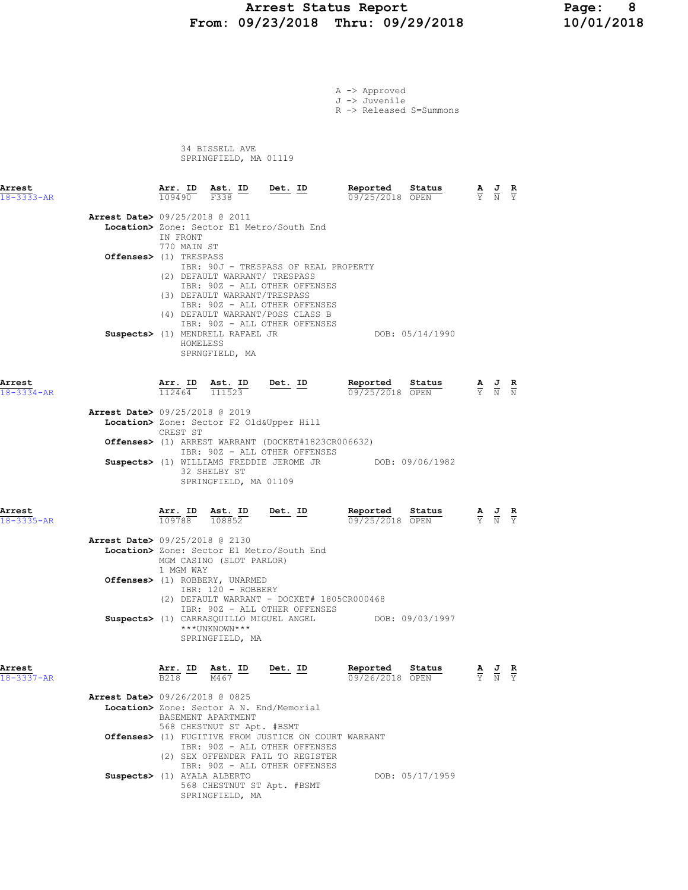# Arrest Status Report Page: 8<br>09/23/2018 Thru: 09/29/2018 10/01/2018 From: 09/23/2018 Thru: 09/29/2018

|                                          |                          |                                                      |                                                                                                                                                 | A -> Approved                            |                 |                                                                                                 |                                                                                                       |  |
|------------------------------------------|--------------------------|------------------------------------------------------|-------------------------------------------------------------------------------------------------------------------------------------------------|------------------------------------------|-----------------|-------------------------------------------------------------------------------------------------|-------------------------------------------------------------------------------------------------------|--|
|                                          |                          |                                                      |                                                                                                                                                 | J -> Juvenile<br>R -> Released S=Summons |                 |                                                                                                 |                                                                                                       |  |
|                                          |                          | 34 BISSELL AVE<br>SPRINGFIELD, MA 01119              |                                                                                                                                                 |                                          |                 |                                                                                                 |                                                                                                       |  |
| Arrest<br>18-3333-AR                     | Arr. ID<br>109490        | Ast. ID<br>F338                                      | <u>Det. ID</u>                                                                                                                                  | Reported<br>09/25/2018 OPEN              | Status          | $\frac{\mathbf{A}}{\mathbf{Y}}$ $\frac{\mathbf{J}}{\mathbf{N}}$ $\frac{\mathbf{R}}{\mathbf{Y}}$ |                                                                                                       |  |
| <b>Arrest Date&gt; 09/25/2018 @ 2011</b> | IN FRONT                 |                                                      | Location> Zone: Sector E1 Metro/South End                                                                                                       |                                          |                 |                                                                                                 |                                                                                                       |  |
| Offenses> (1) TRESPASS                   | 770 MAIN ST              | (2) DEFAULT WARRANT/ TRESPASS                        | IBR: 90J - TRESPASS OF REAL PROPERTY<br>IBR: 90Z - ALL OTHER OFFENSES                                                                           |                                          |                 |                                                                                                 |                                                                                                       |  |
|                                          |                          | (3) DEFAULT WARRANT/TRESPASS                         | IBR: 90Z - ALL OTHER OFFENSES<br>(4) DEFAULT WARRANT/POSS CLASS B                                                                               |                                          |                 |                                                                                                 |                                                                                                       |  |
|                                          | HOMELESS                 | Suspects> (1) MENDRELL RAFAEL JR<br>SPRNGFIELD, MA   | IBR: 90Z - ALL OTHER OFFENSES                                                                                                                   |                                          | DOB: 05/14/1990 |                                                                                                 |                                                                                                       |  |
| Arrest<br>$18 - 3334 - AR$               | <u>Arr. ID</u><br>112464 | Ast. ID<br>$\overline{111523}$                       | <u>Det. ID</u>                                                                                                                                  | Reported Status<br>09/25/2018 OPEN       |                 |                                                                                                 | $\frac{\mathbf{A}}{\mathbf{Y}}$ $\frac{\mathbf{J}}{\mathbf{N}}$ $\frac{\mathbf{R}}{\mathbf{N}}$       |  |
| Arrest Date> 09/25/2018 @ 2019           | CREST ST                 |                                                      | Location> Zone: Sector F2 Old&Upper Hill                                                                                                        |                                          |                 |                                                                                                 |                                                                                                       |  |
|                                          |                          |                                                      | Offenses> (1) ARREST WARRANT (DOCKET#1823CR006632)<br>IBR: 90Z - ALL OTHER OFFENSES<br>Suspects> (1) WILLIAMS FREDDIE JEROME JR DOB: 09/06/1982 |                                          |                 |                                                                                                 |                                                                                                       |  |
|                                          |                          | 32 SHELBY ST<br>SPRINGFIELD, MA 01109                |                                                                                                                                                 |                                          |                 |                                                                                                 |                                                                                                       |  |
| Arrest<br>$18 - 3335 - AR$               | Arr. ID<br>109788        | Ast. ID<br>108852                                    | <u>Det. ID</u>                                                                                                                                  | Reported<br>09/25/2018 OPEN              | Status          |                                                                                                 | $\frac{\mathbf{A}}{\overline{Y}}$ $\frac{\mathbf{J}}{\overline{N}}$ $\frac{\mathbf{R}}{\overline{Y}}$ |  |
| <b>Arrest Date&gt; 09/25/2018 @ 2130</b> |                          | MGM CASINO (SLOT PARLOR)                             | Location> Zone: Sector E1 Metro/South End                                                                                                       |                                          |                 |                                                                                                 |                                                                                                       |  |
|                                          | 1 MGM WAY                | Offenses> (1) ROBBERY, UNARMED<br>IBR: 120 - ROBBERY | (2) DEFAULT WARRANT - DOCKET# 1805CR000468                                                                                                      |                                          |                 |                                                                                                 |                                                                                                       |  |
|                                          |                          | ***UNKNOWN***<br>SPRINGFIELD, MA                     | IBR: 90Z - ALL OTHER OFFENSES<br>Suspects> (1) CARRASOUILLO MIGUEL ANGEL DOB: 09/03/1997                                                        |                                          |                 |                                                                                                 |                                                                                                       |  |
| Arrest<br>18-3337-AR                     |                          |                                                      | $\frac{\texttt{Arr.}}{\texttt{B218}}$ ID $\frac{\texttt{Ast.}}{\texttt{M467}}$ ID Det. ID                                                       | Reported<br>09/26/2018 OPEN              | Status          |                                                                                                 | $\frac{\mathbf{A}}{\mathbf{Y}}$ $\frac{\mathbf{J}}{\mathbf{N}}$ $\frac{\mathbf{R}}{\mathbf{Y}}$       |  |
| Arrest Date> 09/26/2018 @ 0825           |                          | BASEMENT APARTMENT                                   | Location> Zone: Sector A N. End/Memorial                                                                                                        |                                          |                 |                                                                                                 |                                                                                                       |  |
|                                          |                          | 568 CHESTNUT ST Apt. #BSMT                           | Offenses> (1) FUGITIVE FROM JUSTICE ON COURT WARRANT<br>IBR: 90Z - ALL OTHER OFFENSES<br>(2) SEX OFFENDER FAIL TO REGISTER                      |                                          |                 |                                                                                                 |                                                                                                       |  |
| Suspects> (1) AYALA ALBERTO              |                          |                                                      | IBR: 90Z - ALL OTHER OFFENSES<br>568 CHESTNUT ST Apt. #BSMT                                                                                     |                                          | DOB: 05/17/1959 |                                                                                                 |                                                                                                       |  |

SPRINGFIELD, MA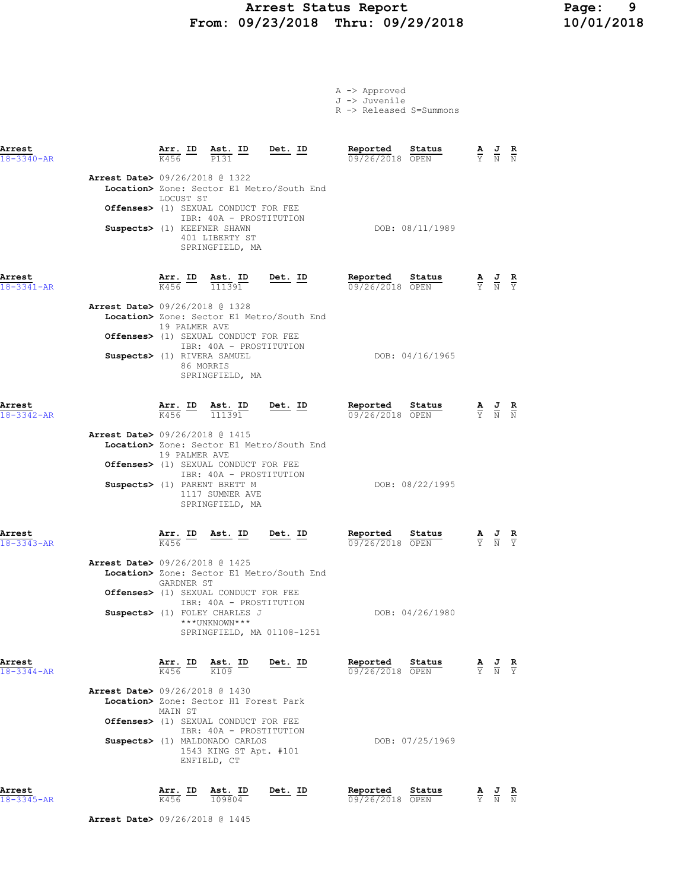# Arrest Status Report Page: 9 From: 09/23/2018 Thru: 09/29/2018

A -> Approved

|                                          |                             |                                                                                                      |                                                                         | J -> Juvenile<br>R -> Released S=Summons |                 |                                                                                                 |                                                                                                 |  |
|------------------------------------------|-----------------------------|------------------------------------------------------------------------------------------------------|-------------------------------------------------------------------------|------------------------------------------|-----------------|-------------------------------------------------------------------------------------------------|-------------------------------------------------------------------------------------------------|--|
| Arrest<br>$18 - 3340 - AR$               |                             | $\frac{\text{Arr.}}{\text{K456}}$ ID $\frac{\text{Ast.}}{\text{P131}}$ ID Det. ID                    |                                                                         | Reported Status<br>09/26/2018 OPEN       |                 |                                                                                                 | $\frac{\mathbf{A}}{\mathbf{Y}}$ $\frac{\mathbf{J}}{\mathbf{N}}$ $\frac{\mathbf{R}}{\mathbf{N}}$ |  |
| <b>Arrest Date&gt;</b> 09/26/2018 @ 1322 | LOCUST ST                   |                                                                                                      | Location> Zone: Sector E1 Metro/South End                               |                                          |                 |                                                                                                 |                                                                                                 |  |
|                                          | Suspects> (1) KEEFNER SHAWN | Offenses> (1) SEXUAL CONDUCT FOR FEE<br>IBR: 40A - PROSTITUTION<br>401 LIBERTY ST<br>SPRINGFIELD, MA |                                                                         |                                          | DOB: 08/11/1989 |                                                                                                 |                                                                                                 |  |
| Arrest<br>$18 - 3341 - AR$               |                             |                                                                                                      | $\frac{\texttt{Arr.}}{K456}$ ID $\frac{\texttt{ Ast.}}{111391}$ Det. ID | Reported Status<br>09/26/2018 OPEN       |                 | $\frac{\mathbf{A}}{\mathbf{Y}}$ $\frac{\mathbf{J}}{\mathbf{N}}$ $\frac{\mathbf{R}}{\mathbf{Y}}$ |                                                                                                 |  |
| <b>Arrest Date&gt; 09/26/2018 @ 1328</b> | 19 PALMER AVE               | Offenses> (1) SEXUAL CONDUCT FOR FEE<br>IBR: 40A - PROSTITUTION                                      | Location> Zone: Sector E1 Metro/South End                               |                                          |                 |                                                                                                 |                                                                                                 |  |
|                                          | Suspects> (1) RIVERA SAMUEL | 86 MORRIS<br>SPRINGFIELD, MA                                                                         |                                                                         |                                          | DOB: 04/16/1965 |                                                                                                 |                                                                                                 |  |
| Arrest<br>$18 - 3342 - AR$               |                             | $\frac{\texttt{Arr.}}{K456}$ ID $\frac{\texttt{ Ast.}}{111391}$ Det. ID                              |                                                                         | Reported Status<br>09/26/2018 OPEN       |                 |                                                                                                 | $\frac{\mathbf{A}}{\mathbf{Y}}$ $\frac{\mathbf{J}}{\mathbf{N}}$ $\frac{\mathbf{R}}{\mathbf{N}}$ |  |
| <b>Arrest Date&gt;</b> 09/26/2018 @ 1415 | 19 PALMER AVE               | Offenses> (1) SEXUAL CONDUCT FOR FEE                                                                 | Location> Zone: Sector E1 Metro/South End                               |                                          |                 |                                                                                                 |                                                                                                 |  |
|                                          |                             | IBR: 40A - PROSTITUTION<br>Suspects> (1) PARENT BRETT M<br>1117 SUMNER AVE<br>SPRINGFIELD, MA        |                                                                         |                                          | DOB: 08/22/1995 |                                                                                                 |                                                                                                 |  |
| Arrest<br>$18 - 3343 - AR$               |                             |                                                                                                      | $\frac{\texttt{Arr.}}{\text{K456}}$ ID Ast. ID Det. ID                  | <u>Reported</u><br>09/26/2018 OPEN       | <u>Sta</u> tus  |                                                                                                 | $\frac{\mathbf{A}}{\mathbf{Y}}$ $\frac{\mathbf{J}}{\mathbf{N}}$ $\frac{\mathbf{R}}{\mathbf{Y}}$ |  |
| Arrest Date> 09/26/2018 @ 1425           | GARDNER ST                  | Offenses> (1) SEXUAL CONDUCT FOR FEE                                                                 | Location> Zone: Sector E1 Metro/South End                               |                                          |                 |                                                                                                 |                                                                                                 |  |
|                                          |                             | IBR: 40A - PROSTITUTION<br>Suspects> (1) FOLEY CHARLES J<br>***UNKNOWN***                            | SPRINGFIELD, MA 01108-1251                                              |                                          | DOB: 04/26/1980 |                                                                                                 |                                                                                                 |  |
| Arrest<br>18-3344-AR                     |                             | $\frac{\text{Arr.}}{\text{K456}}$ ID $\frac{\text{Ast.}}{\text{K109}}$                               | Det. ID                                                                 | Reported<br>09/26/2018 OPEN              | Status          |                                                                                                 | $\frac{\mathbf{A}}{\mathbf{Y}}$ $\frac{\mathbf{J}}{\mathbf{N}}$ $\frac{\mathbf{R}}{\mathbf{Y}}$ |  |
| <b>Arrest Date&gt;</b> 09/26/2018 @ 1430 | MAIN ST                     | Location> Zone: Sector H1 Forest Park<br>Offenses> (1) SEXUAL CONDUCT FOR FEE                        |                                                                         |                                          |                 |                                                                                                 |                                                                                                 |  |
|                                          |                             | IBR: 40A - PROSTITUTION<br>Suspects> (1) MALDONADO CARLOS<br>1543 KING ST Apt. #101<br>ENFIELD, CT   |                                                                         |                                          | DOB: 07/25/1969 |                                                                                                 |                                                                                                 |  |
| Arrest<br>18-3345-AR                     | Arr. ID<br>K456             | Ast. ID<br>109804                                                                                    | Det. ID                                                                 | Reported<br>09/26/2018 OPEN              | Status          |                                                                                                 | $\frac{\mathbf{A}}{\mathbf{Y}}$ $\frac{\mathbf{J}}{\mathbf{N}}$ $\frac{\mathbf{R}}{\mathbf{N}}$ |  |

Arrest Date> 09/26/2018 @ 1445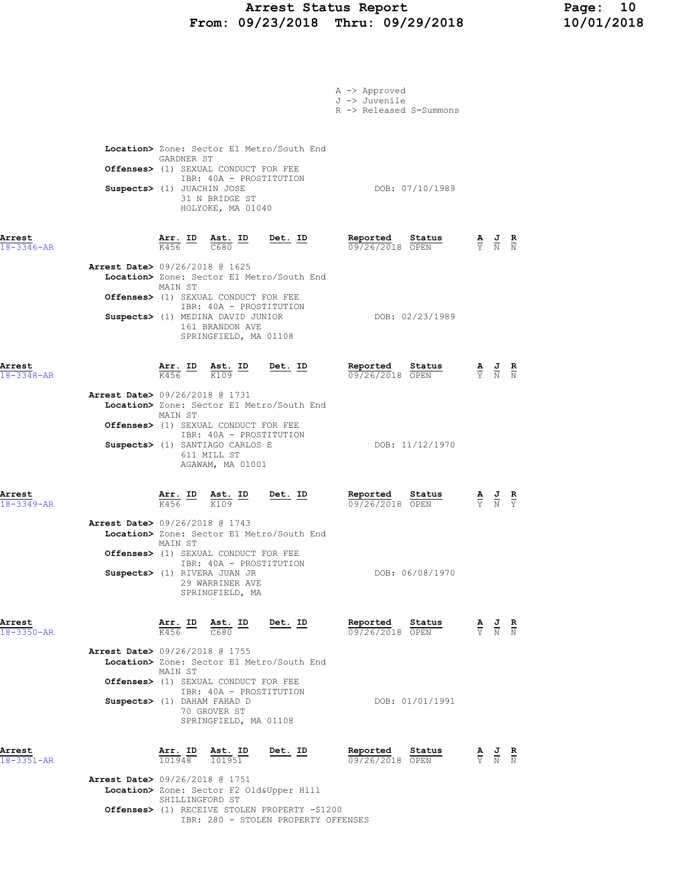### Arrest Status Report Page: 10 From: 09/23/2018 Thru: 09/29/2018 10/01/2018

|                            |                                                               |                                                   |                                                                                                                                                                                                                     |                                                                                                             | A -> Approved<br>J -> Juvenile<br>R -> Released S=Summons              |                                                                                                       |  |
|----------------------------|---------------------------------------------------------------|---------------------------------------------------|---------------------------------------------------------------------------------------------------------------------------------------------------------------------------------------------------------------------|-------------------------------------------------------------------------------------------------------------|------------------------------------------------------------------------|-------------------------------------------------------------------------------------------------------|--|
|                            | Suspects> (1) JUACHIN JOSE                                    | GARDNER ST                                        | Offenses> (1) SEXUAL CONDUCT FOR FEE<br>IBR: 40A - PROSTITUTION<br>31 N BRIDGE ST<br>HOLYOKE, MA 01040                                                                                                              | Location> Zone: Sector E1 Metro/South End                                                                   | DOB: 07/10/1989                                                        |                                                                                                       |  |
| Arrest<br>$18 - 3346 - AR$ | <b>Arrest Date&gt;</b> 09/26/2018 @ 1625                      | $\frac{\texttt{Arr.}}{\text{K456}}$ ID<br>MAIN ST | $\frac{\text{Ast.}}{\text{C680}}$ ID<br>Offenses> (1) SEXUAL CONDUCT FOR FEE                                                                                                                                        | <u>Det.</u> ID<br>Location> Zone: Sector E1 Metro/South End                                                 | Reported<br><u>Status</u><br>09/26/2018 OPEN                           | $\frac{\mathbf{A}}{\mathbf{Y}}$ $\frac{\mathbf{J}}{\mathbf{N}}$ $\frac{\mathbf{R}}{\mathbf{N}}$       |  |
|                            |                                                               |                                                   | IBR: 40A - PROSTITUTION<br>Suspects> (1) MEDINA DAVID JUNIOR<br>161 BRANDON AVE<br>SPRINGFIELD, MA 01108                                                                                                            |                                                                                                             | DOB: 02/23/1989                                                        |                                                                                                       |  |
| Arrest<br>$18 - 3348 - AR$ | Arrest Date> 09/26/2018 @ 1731                                | MAIN ST                                           | $\frac{\texttt{Arr.}}{\text{K456}}$ ID $\frac{\texttt{Ast.}}{\text{K109}}$<br>Offenses> (1) SEXUAL CONDUCT FOR FEE<br>IBR: 40A - PROSTITUTION<br>Suspects> (1) SANTIAGO CARLOS E<br>611 MILL ST<br>AGAWAM, MA 01001 | <u>Det. ID</u><br>Location> Zone: Sector E1 Metro/South End                                                 | <u>Reported</u><br><u>Status</u><br>09/26/2018 OPEN<br>DOB: 11/12/1970 | $\frac{\mathbf{A}}{\mathbf{Y}}$ $\frac{\mathbf{J}}{\mathbf{N}}$ $\frac{\mathbf{R}}{\mathbf{N}}$       |  |
| Arrest<br>$18 - 3349 - AR$ | <b>Arrest Date&gt;</b> 09/26/2018 @ 1743                      | $\frac{\texttt{Arr.}}{\text{K456}}$ ID<br>MAIN ST | Ast. ID<br>$\frac{1}{K109}$<br>K109<br>Offenses> (1) SEXUAL CONDUCT FOR FEE<br>IBR: 40A - PROSTITUTION<br>Suspects> (1) RIVERA JUAN JR<br>29 WARRINER AVE<br>SPRINGFIELD, MA                                        | <u>Det. ID</u><br>Location> Zone: Sector E1 Metro/South End                                                 | Reported<br>Status<br>09/26/2018 OPEN<br>DOB: 06/08/1970               | $\frac{\mathbf{A}}{\overline{Y}}$ $\frac{\mathbf{J}}{\overline{N}}$ $\frac{\mathbf{R}}{\overline{Y}}$ |  |
| Arrest<br>$18 - 3350 - AR$ | Arrest Date> 09/26/2018 @ 1755<br>Suspects> (1) DAHAM FAHAD D | Arr. ID<br>K456<br>MAIN ST                        | Ast. ID<br>C680<br>Offenses> (1) SEXUAL CONDUCT FOR FEE<br>IBR: 40A - PROSTITUTION<br>70 GROVER ST<br>SPRINGFIELD, MA 01108                                                                                         | Det. ID<br>Location> Zone: Sector E1 Metro/South End                                                        | Reported<br>Status<br>09/26/2018 OPEN<br>DOB: 01/01/1991               | $\frac{\mathbf{A}}{\mathbf{Y}}$ $\frac{\mathbf{J}}{\mathbf{N}}$ $\frac{\mathbf{R}}{\mathbf{N}}$       |  |
| Arrest<br>18-3351-AR       | <b>Arrest Date&gt;</b> 09/26/2018 @ 1751                      | <u>Arr. ID</u><br>101948<br>SHILLINGFORD ST       | <u>Ast. ID</u><br>101951                                                                                                                                                                                            | <u>Det. ID</u><br>Location> Zone: Sector F2 Old&Upper Hill<br>Offenses> (1) RECEIVE STOLEN PROPERTY -\$1200 | <u>Reported</u><br><u>Status</u><br>09/26/2018 OPEN                    | $\frac{\mathbf{A}}{\mathbf{Y}}$ $\frac{\mathbf{J}}{\mathbf{N}}$ $\frac{\mathbf{R}}{\mathbf{N}}$       |  |

IBR: 280 - STOLEN PROPERTY OFFENSES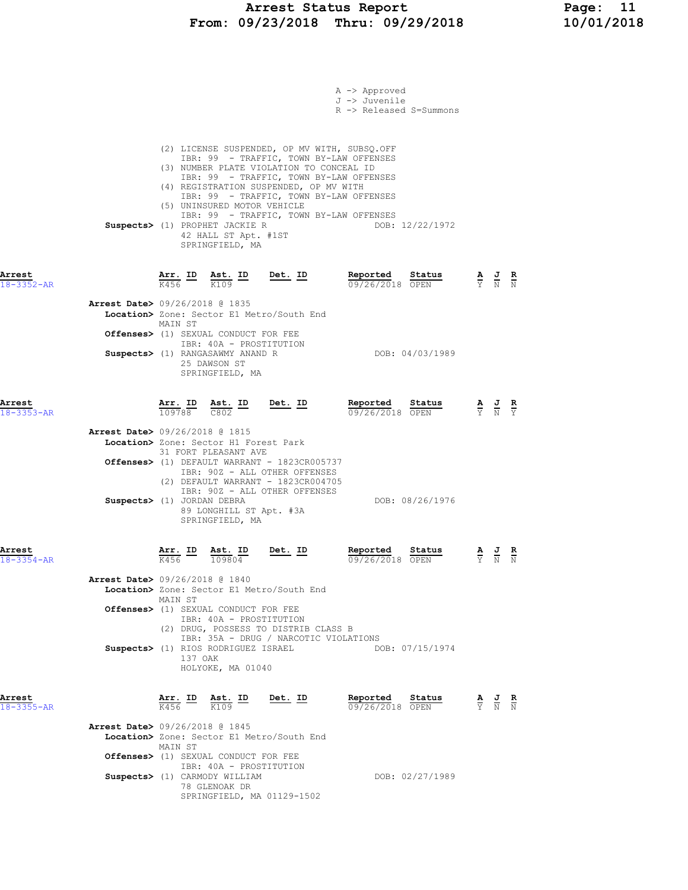### Arrest Status Report Page: 11 From: 09/23/2018 Thru: 09/29/2018 10/01/2018

|                            |                                                                                                                            |                                                                                                                                                                                                                          | A -> Approved<br>J -> Juvenile<br>R -> Released S=Summons                                                                                                                                                                |                 |                                                                                                 |                                                                                                 |
|----------------------------|----------------------------------------------------------------------------------------------------------------------------|--------------------------------------------------------------------------------------------------------------------------------------------------------------------------------------------------------------------------|--------------------------------------------------------------------------------------------------------------------------------------------------------------------------------------------------------------------------|-----------------|-------------------------------------------------------------------------------------------------|-------------------------------------------------------------------------------------------------|
|                            | Suspects> (1) PROPHET JACKIE R<br>SPRINGFIELD, MA                                                                          | (3) NUMBER PLATE VIOLATION TO CONCEAL ID<br>(4) REGISTRATION SUSPENDED, OP MV WITH<br>(5) UNINSURED MOTOR VEHICLE<br>42 HALL ST Apt. #1ST                                                                                | (2) LICENSE SUSPENDED, OP MV WITH, SUBSQ.OFF<br>IBR: 99 - TRAFFIC, TOWN BY-LAW OFFENSES<br>IBR: 99 - TRAFFIC, TOWN BY-LAW OFFENSES<br>IBR: 99 - TRAFFIC, TOWN BY-LAW OFFENSES<br>IBR: 99 - TRAFFIC, TOWN BY-LAW OFFENSES | DOB: 12/22/1972 |                                                                                                 |                                                                                                 |
| Arrest<br>18-3352-AR       | K456<br>K109                                                                                                               | <u>Arr. ID Ast. ID Det. ID</u>                                                                                                                                                                                           | Reported<br>09/26/2018 OPEN                                                                                                                                                                                              | Status          |                                                                                                 | $\frac{\mathbf{A}}{\mathbf{Y}}$ $\frac{\mathbf{J}}{\mathbf{N}}$ $\frac{\mathbf{R}}{\mathbf{N}}$ |
|                            | <b>Arrest Date&gt;</b> 09/26/2018 @ 1835<br>MAIN ST<br>Suspects> (1) RANGASAWMY ANAND R<br>25 DAWSON ST<br>SPRINGFIELD, MA | Location> Zone: Sector E1 Metro/South End<br>Offenses> (1) SEXUAL CONDUCT FOR FEE<br>IBR: 40A - PROSTITUTION                                                                                                             |                                                                                                                                                                                                                          | DOB: 04/03/1989 |                                                                                                 |                                                                                                 |
| Arrest<br>$18 - 3353 - AR$ | Arr. ID<br>109788<br>C802                                                                                                  | $Det. ID$<br><u>Ast. ID</u>                                                                                                                                                                                              | Reported<br>09/26/2018 OPEN                                                                                                                                                                                              | Status          |                                                                                                 | $\frac{\mathbf{A}}{\mathbf{Y}}$ $\frac{\mathbf{J}}{\mathbf{N}}$ $\frac{\mathbf{R}}{\mathbf{Y}}$ |
|                            | <b>Arrest Date&gt;</b> 09/26/2018 @ 1815<br>31 FORT PLEASANT AVE<br>Suspects> (1) JORDAN DEBRA<br>SPRINGFIELD, MA          | Location> Zone: Sector H1 Forest Park<br>Offenses> (1) DEFAULT WARRANT - 1823CR005737<br>IBR: 90Z - ALL OTHER OFFENSES<br>(2) DEFAULT WARRANT - 1823CR004705<br>IBR: 90Z - ALL OTHER OFFENSES<br>89 LONGHILL ST Apt. #3A |                                                                                                                                                                                                                          | DOB: 08/26/1976 |                                                                                                 |                                                                                                 |
| Arrest<br>18-3354-AR       | Arr. ID<br>K456 109804                                                                                                     | Ast. ID<br>Det. ID                                                                                                                                                                                                       | Reported<br>09/26/2018 OPEN                                                                                                                                                                                              | Status          | $\frac{\mathbf{A}}{\mathbf{Y}}$ $\frac{\mathbf{J}}{\mathbf{N}}$ $\frac{\mathbf{R}}{\mathbf{N}}$ |                                                                                                 |
|                            | Arrest Date> 09/26/2018 @ 1840<br>MAIN ST<br>Suspects> (1) RIOS RODRIGUEZ ISRAEL<br>137 OAK<br>HOLYOKE, MA 01040           | Location> Zone: Sector E1 Metro/South End<br>Offenses> (1) SEXUAL CONDUCT FOR FEE<br>IBR: 40A - PROSTITUTION<br>(2) DRUG, POSSESS TO DISTRIB CLASS B                                                                     | IBR: 35A - DRUG / NARCOTIC VIOLATIONS                                                                                                                                                                                    | DOB: 07/15/1974 |                                                                                                 |                                                                                                 |
| Arrest<br>$18 - 3355 - AR$ | Arr. ID<br><u>Ast. ID</u><br>K109<br>K456                                                                                  | <u>Det. ID</u>                                                                                                                                                                                                           | Reported<br>09/26/2018 OPEN                                                                                                                                                                                              | Status          |                                                                                                 | $\frac{\mathbf{A}}{\mathbf{Y}}$ $\frac{\mathbf{J}}{\mathbf{N}}$ $\frac{\mathbf{R}}{\mathbf{N}}$ |
|                            | Arrest Date> 09/26/2018 @ 1845<br>MAIN ST<br>Suspects> (1) CARMODY WILLIAM<br>78 GLENOAK DR                                | Location> Zone: Sector E1 Metro/South End<br>Offenses> (1) SEXUAL CONDUCT FOR FEE<br>IBR: 40A - PROSTITUTION<br>SPRINGFIELD, MA 01129-1502                                                                               |                                                                                                                                                                                                                          | DOB: 02/27/1989 |                                                                                                 |                                                                                                 |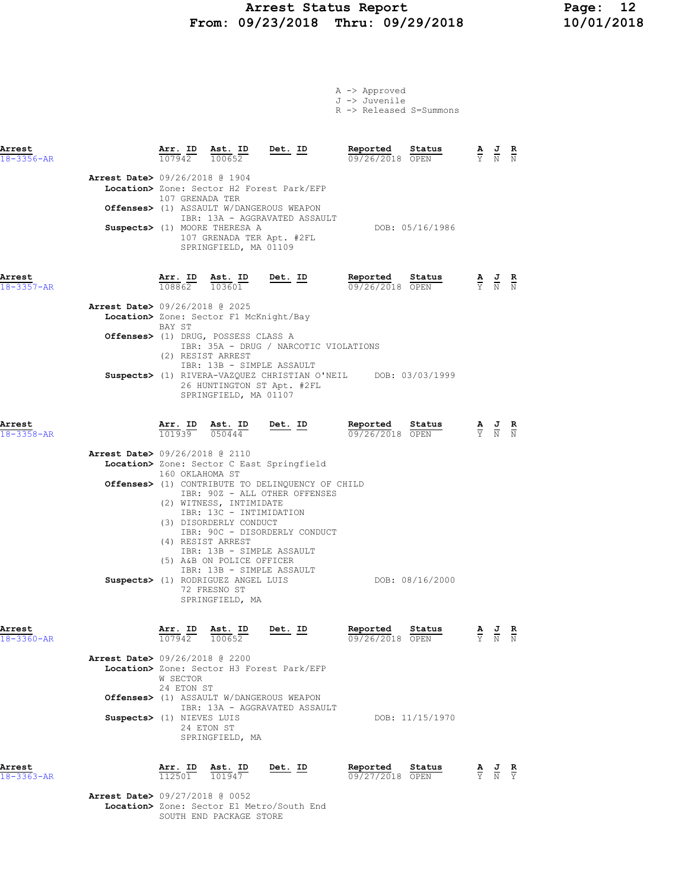# Arrest Status Report 12<br>19/23/2018 Thru: 09/29/2018 10/01/2018 From: 09/23/2018 Thru: 09/29/2018

|                                          |                        |                                                                                                                                                                                          |                                                                                                                                                                           | A -> Approved<br>J -> Juvenile<br>R -> Released S=Summons |                 |                                                                                                 |  |
|------------------------------------------|------------------------|------------------------------------------------------------------------------------------------------------------------------------------------------------------------------------------|---------------------------------------------------------------------------------------------------------------------------------------------------------------------------|-----------------------------------------------------------|-----------------|-------------------------------------------------------------------------------------------------|--|
| Arrest<br>$18 - 3356 - AR$               |                        | $\frac{\text{Arr. ID}}{\text{max. ID}}$ $\frac{\text{Est. ID}}{\text{max. ID}}$ $\frac{\text{Det. ID}}{\text{max. ID}}$<br>$107942$ $100652$                                             |                                                                                                                                                                           | Reported Status<br>09/26/2018 OPEN                        |                 | $\frac{\mathbf{A}}{\mathbf{Y}}$ $\frac{\mathbf{J}}{\mathbf{N}}$ $\frac{\mathbf{R}}{\mathbf{N}}$ |  |
| <b>Arrest Date&gt;</b> 09/26/2018 @ 1904 | 107 GRENADA TER        | Suspects> (1) MOORE THERESA A<br>107 GRENADA TER Apt. #2FL<br>SPRINGFIELD, MA 01109                                                                                                      | Location> Zone: Sector H2 Forest Park/EFP<br>Offenses> (1) ASSAULT W/DANGEROUS WEAPON<br>IBR: 13A - AGGRAVATED ASSAULT                                                    |                                                           | DOB: 05/16/1986 |                                                                                                 |  |
| Arrest<br>$18 - 3357 - AR$               |                        |                                                                                                                                                                                          | $\frac{\texttt{Arr.}}{108862}$ $\frac{\texttt{ Ast.}}{103601}$ $\frac{\texttt{Det.}}{202862}$                                                                             | Reported<br>09/26/2018 OPEN                               | Status          | $\frac{\mathbf{A}}{\mathbf{Y}}$ $\frac{\mathbf{J}}{\mathbf{N}}$ $\frac{\mathbf{R}}{\mathbf{N}}$ |  |
| <b>Arrest Date&gt; 09/26/2018 @ 2025</b> | BAY ST                 | Location> Zone: Sector F1 McKnight/Bay                                                                                                                                                   |                                                                                                                                                                           |                                                           |                 |                                                                                                 |  |
|                                          |                        | Offenses> (1) DRUG, POSSESS CLASS A<br>(2) RESIST ARREST                                                                                                                                 | IBR: 35A - DRUG / NARCOTIC VIOLATIONS                                                                                                                                     |                                                           |                 |                                                                                                 |  |
|                                          |                        | IBR: 13B - SIMPLE ASSAULT<br>SPRINGFIELD, MA 01107                                                                                                                                       | Suspects> (1) RIVERA-VAZQUEZ CHRISTIAN O'NEIL DOB: 03/03/1999<br>26 HUNTINGTON ST Apt. #2FL                                                                               |                                                           |                 |                                                                                                 |  |
| Arrest<br>$18 - 3358 - AR$               |                        |                                                                                                                                                                                          | <b>Arr. ID</b> Ast. ID Det. ID Reported $\frac{101939}{050444}$ Det. ID Reported $\frac{09}{2662018}$                                                                     | 09/26/2018 OPEN                                           | Status          | $\frac{\mathbf{A}}{\mathbf{Y}}$ $\frac{\mathbf{J}}{\mathbf{N}}$ $\frac{\mathbf{R}}{\mathbf{N}}$ |  |
| <b>Arrest Date&gt;</b> 09/26/2018 @ 2110 | 160 OKLAHOMA ST        | (2) WITNESS, INTIMIDATE<br>IBR: 13C - INTIMIDATION<br>(3) DISORDERLY CONDUCT<br>(4) RESIST ARREST<br>IBR: 13B - SIMPLE ASSAULT<br>(5) A&B ON POLICE OFFICER<br>IBR: 13B - SIMPLE ASSAULT | Location> Zone: Sector C East Springfield<br><b>Offenses&gt;</b> (1) CONTRIBUTE TO DELINQUENCY OF CHILD<br>IBR: 90Z - ALL OTHER OFFENSES<br>IBR: 90C - DISORDERLY CONDUCT |                                                           |                 |                                                                                                 |  |
|                                          |                        | Suspects> (1) RODRIGUEZ ANGEL LUIS<br>72 FRESNO ST<br>SPRINGFIELD, MA                                                                                                                    |                                                                                                                                                                           |                                                           | DOB: 08/16/2000 |                                                                                                 |  |
| Arrest<br>18-3360-AR                     | 107942 100652          | Arr. ID Ast. ID                                                                                                                                                                          | $Det$ . ID                                                                                                                                                                | Reported<br>09/26/2018 OPEN                               | Status          | $\frac{\mathbf{A}}{\mathbf{Y}}$ $\frac{\mathbf{J}}{\mathbf{N}}$ $\frac{\mathbf{R}}{\mathbf{N}}$ |  |
| <b>Arrest Date&gt;</b> 09/26/2018 @ 2200 | W SECTOR<br>24 ETON ST |                                                                                                                                                                                          | Location> Zone: Sector H3 Forest Park/EFP                                                                                                                                 |                                                           |                 |                                                                                                 |  |
| Suspects> (1) NIEVES LUIS                |                        | 24 ETON ST<br>SPRINGFIELD, MA                                                                                                                                                            | Offenses> (1) ASSAULT W/DANGEROUS WEAPON<br>IBR: 13A - AGGRAVATED ASSAULT                                                                                                 |                                                           | DOB: 11/15/1970 |                                                                                                 |  |
| Arrest<br>18-3363-AR                     | Arr. ID<br>112501      | Ast. ID<br>101947                                                                                                                                                                        | Det. ID                                                                                                                                                                   | Reported<br>09/27/2018 OPEN                               | Status          | $\frac{\mathbf{A}}{\mathbf{Y}}$ $\frac{\mathbf{J}}{\mathbf{N}}$ $\frac{\mathbf{R}}{\mathbf{Y}}$ |  |

Arrest Date> 09/27/2018 @ 0052 Location> Zone: Sector E1 Metro/South End SOUTH END PACKAGE STORE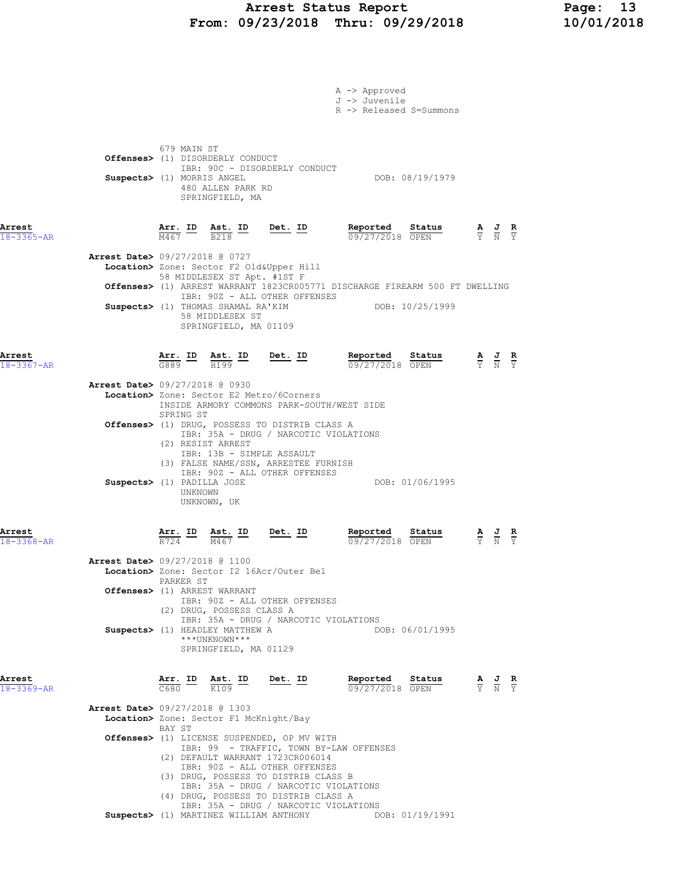### Arrest Status Report Page: 13 From: 09/23/2018 Thru: 09/29/2018 10/01/2018

|                            |                                          |                                        |                                                                                |                                                                                         | A -> Approved<br>J -> Juvenile                                                                       |                 |                                                                                                 |  |
|----------------------------|------------------------------------------|----------------------------------------|--------------------------------------------------------------------------------|-----------------------------------------------------------------------------------------|------------------------------------------------------------------------------------------------------|-----------------|-------------------------------------------------------------------------------------------------|--|
|                            |                                          |                                        |                                                                                |                                                                                         | R -> Released S=Summons                                                                              |                 |                                                                                                 |  |
|                            |                                          | 679 MAIN ST                            | <b>Offenses&gt;</b> (1) DISORDERLY CONDUCT                                     |                                                                                         |                                                                                                      |                 |                                                                                                 |  |
|                            | Suspects> (1) MORRIS ANGEL               |                                        |                                                                                | IBR: 90C - DISORDERLY CONDUCT                                                           |                                                                                                      | DOB: 08/19/1979 |                                                                                                 |  |
|                            |                                          |                                        | 480 ALLEN PARK RD<br>SPRINGFIELD, MA                                           |                                                                                         |                                                                                                      |                 |                                                                                                 |  |
| Arrest<br>$18 - 3365 - AR$ |                                          |                                        |                                                                                | $\frac{\texttt{Arr.}}{\text{M467}}$ ID $\frac{\texttt{ Ast.}}{\text{B218}}$ ID Det. ID  | <b>Reported Status A J R</b> 09/27/2018 OPEN $\frac{1}{Y}$ <b>N</b> $\frac{1}{Y}$<br>09/27/2018 OPEN |                 |                                                                                                 |  |
|                            | <b>Arrest Date&gt; 09/27/2018 @ 0727</b> |                                        |                                                                                | Location> Zone: Sector F2 Old&Upper Hill                                                |                                                                                                      |                 |                                                                                                 |  |
|                            |                                          |                                        | 58 MIDDLESEX ST Apt. #1ST F                                                    |                                                                                         | Offenses> (1) ARREST WARRANT 1823CR005771 DISCHARGE FIREARM 500 FT DWELLING                          |                 |                                                                                                 |  |
|                            |                                          |                                        | 58 MIDDLESEX ST<br>SPRINGFIELD, MA 01109                                       | IBR: 90Z - ALL OTHER OFFENSES<br>Suspects> (1) THOMAS SHAMAL RA'KIM                     |                                                                                                      | DOB: 10/25/1999 |                                                                                                 |  |
| Arrest<br>$18 - 3367 - AR$ |                                          |                                        |                                                                                | $\frac{\texttt{Arr.}}{\texttt{G889}}$ ID Ast. ID Det. ID                                | Reported Status<br>09/27/2018 OPEN                                                                   |                 | $\frac{\mathbf{A}}{\mathbf{Y}}$ $\frac{\mathbf{J}}{\mathbf{N}}$ $\frac{\mathbf{R}}{\mathbf{Y}}$ |  |
|                            | <b>Arrest Date&gt; 09/27/2018 @ 0930</b> |                                        |                                                                                |                                                                                         |                                                                                                      |                 |                                                                                                 |  |
|                            |                                          |                                        |                                                                                | Location> Zone: Sector E2 Metro/6Corners                                                | INSIDE ARMORY COMMONS PARK-SOUTH/WEST SIDE                                                           |                 |                                                                                                 |  |
|                            |                                          | SPRING ST                              |                                                                                | Offenses> (1) DRUG, POSSESS TO DISTRIB CLASS A<br>IBR: 35A - DRUG / NARCOTIC VIOLATIONS |                                                                                                      |                 |                                                                                                 |  |
|                            |                                          |                                        | (2) RESIST ARREST                                                              | IBR: 13B - SIMPLE ASSAULT                                                               |                                                                                                      |                 |                                                                                                 |  |
|                            |                                          |                                        |                                                                                | (3) FALSE NAME/SSN, ARRESTEE FURNISH<br>IBR: 90Z - ALL OTHER OFFENSES                   |                                                                                                      |                 |                                                                                                 |  |
|                            | Suspects> (1) PADILLA JOSE               | UNKNOWN                                | UNKNOWN, UK                                                                    |                                                                                         |                                                                                                      | DOB: 01/06/1995 |                                                                                                 |  |
| Arrest<br>18-3368-AR       |                                          | $\frac{\texttt{Arr.}}{\text{R724}}$ ID | $Ast$ . ID<br>M467                                                             | <u>Det. ID</u>                                                                          | Reported<br>09/27/2018 OPEN                                                                          | Status          | $\frac{\mathbf{A}}{\mathbf{Y}}$ $\frac{\mathbf{J}}{\mathbf{N}}$ $\frac{\mathbf{R}}{\mathbf{Y}}$ |  |
|                            | <b>Arrest Date&gt; 09/27/2018 @ 1100</b> |                                        |                                                                                |                                                                                         |                                                                                                      |                 |                                                                                                 |  |
|                            |                                          | PARKER ST                              |                                                                                | Location> Zone: Sector I2 16Acr/Outer Bel                                               |                                                                                                      |                 |                                                                                                 |  |
|                            |                                          |                                        | Offenses> (1) ARREST WARRANT                                                   | IBR: 90Z - ALL OTHER OFFENSES                                                           |                                                                                                      |                 |                                                                                                 |  |
|                            |                                          |                                        | (2) DRUG, POSSESS CLASS A<br>Suspects> (1) HEADLEY MATTHEW A<br>***UNKNOWN***  | IBR: 35A - DRUG / NARCOTIC VIOLATIONS                                                   |                                                                                                      | DOB: 06/01/1995 |                                                                                                 |  |
|                            |                                          |                                        | SPRINGFIELD, MA 01129                                                          |                                                                                         |                                                                                                      |                 |                                                                                                 |  |
| Arrest<br>$18 - 3369 - AR$ |                                          |                                        | $\frac{\texttt{Arr.}}{\texttt{C680}}$ ID $\frac{\texttt{Ast.}}{\texttt{K109}}$ | Det. ID                                                                                 | Reported<br>09/27/2018 OPEN                                                                          | Status          | $\frac{\mathbf{A}}{\mathbf{Y}}$ $\frac{\mathbf{J}}{\mathbf{N}}$ $\frac{\mathbf{R}}{\mathbf{Y}}$ |  |
|                            | <b>Arrest Date&gt;</b> 09/27/2018 @ 1303 | BAY ST                                 | Location> Zone: Sector F1 McKnight/Bay                                         |                                                                                         |                                                                                                      |                 |                                                                                                 |  |
|                            |                                          |                                        |                                                                                | Offenses> (1) LICENSE SUSPENDED, OP MV WITH                                             | IBR: 99 - TRAFFIC, TOWN BY-LAW OFFENSES                                                              |                 |                                                                                                 |  |
|                            |                                          |                                        |                                                                                | (2) DEFAULT WARRANT 1723CR006014<br>IBR: 90Z - ALL OTHER OFFENSES                       |                                                                                                      |                 |                                                                                                 |  |
|                            |                                          |                                        |                                                                                | (3) DRUG, POSSESS TO DISTRIB CLASS B<br>IBR: 35A - DRUG / NARCOTIC VIOLATIONS           |                                                                                                      |                 |                                                                                                 |  |
|                            |                                          |                                        |                                                                                | (4) DRUG, POSSESS TO DISTRIB CLASS A<br>IBR: 35A - DRUG / NARCOTIC VIOLATIONS           |                                                                                                      |                 |                                                                                                 |  |
|                            |                                          |                                        | Suspects> (1) MARTINEZ WILLIAM ANTHONY                                         |                                                                                         |                                                                                                      | DOB: 01/19/1991 |                                                                                                 |  |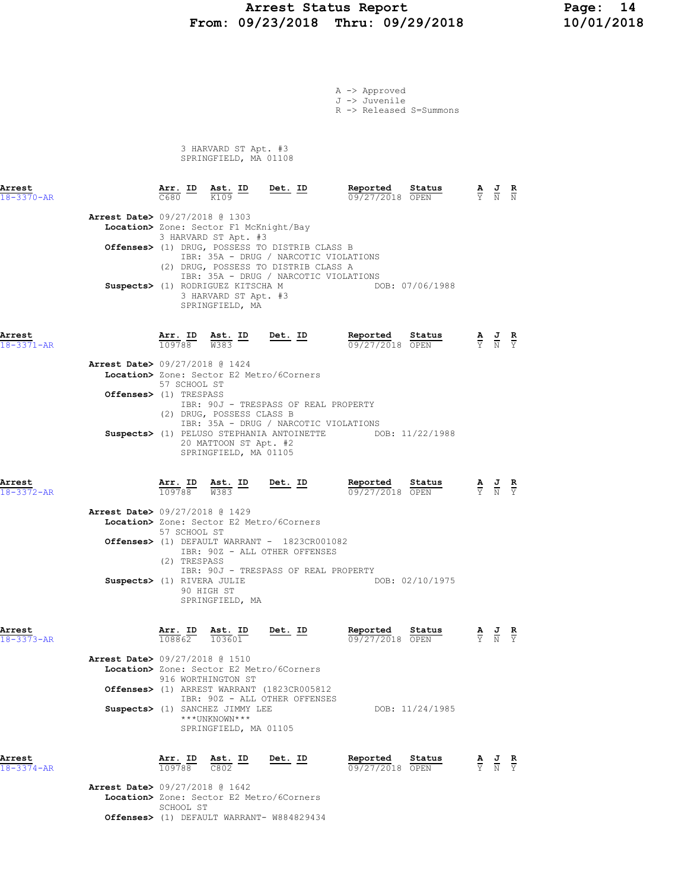### Arrest Status Report 14<br>19/23/2018 Thru: 09/29/2018 10/01/2018 From: 09/23/2018 Thru: 09/29/2018

A -> Approved J -> Juvenile

R -> Released S=Summons

 3 HARVARD ST Apt. #3 SPRINGFIELD, MA 01108

| Arrest<br>18-3370-AR       |                                          | Arr. ID<br>C680                   | Ast. ID<br>K109                                                                                                                                | Det. ID                                                                                                                                                                  | Reported<br>09/27/2018 OPEN                               | Status          |                                 | $\frac{1}{N}$                                                                                   | R                               |
|----------------------------|------------------------------------------|-----------------------------------|------------------------------------------------------------------------------------------------------------------------------------------------|--------------------------------------------------------------------------------------------------------------------------------------------------------------------------|-----------------------------------------------------------|-----------------|---------------------------------|-------------------------------------------------------------------------------------------------|---------------------------------|
|                            | Arrest Date> 09/27/2018 @ 1303           |                                   | Location> Zone: Sector F1 McKnight/Bay<br>3 HARVARD ST Apt. #3<br>Suspects> (1) RODRIGUEZ KITSCHA M<br>3 HARVARD ST Apt. #3<br>SPRINGFIELD, MA | Offenses> (1) DRUG, POSSESS TO DISTRIB CLASS B<br>IBR: 35A - DRUG / NARCOTIC VIOLATIONS<br>(2) DRUG, POSSESS TO DISTRIB CLASS A<br>IBR: 35A - DRUG / NARCOTIC VIOLATIONS |                                                           | DOB: 07/06/1988 |                                 |                                                                                                 |                                 |
| Arrest<br>$18 - 3371 - AR$ | <b>Arrest Date&gt; 09/27/2018 @ 1424</b> | Arr. ID<br>109788<br>57 SCHOOL ST | Ast. ID<br>$\frac{\text{Ast.}}{\text{W}383}$                                                                                                   | <u>Det. ID</u><br>Location> Zone: Sector E2 Metro/6Corners                                                                                                               | Reported<br>09/27/2018 OPEN                               | Status          |                                 | $\frac{\mathbf{A}}{\mathbf{Y}}$ $\frac{\mathbf{J}}{\mathbf{N}}$ $\frac{\mathbf{R}}{\mathbf{Y}}$ |                                 |
|                            | Offenses> (1) TRESPASS                   |                                   | (2) DRUG, POSSESS CLASS B<br>20 MATTOON ST Apt. #2<br>SPRINGFIELD, MA 01105                                                                    | IBR: 90J - TRESPASS OF REAL PROPERTY<br>IBR: 35A - DRUG / NARCOTIC VIOLATIONS                                                                                            | Suspects> (1) PELUSO STEPHANIA ANTOINETTE DOB: 11/22/1988 |                 |                                 |                                                                                                 |                                 |
| Arrest<br>$18 - 3372 - AR$ |                                          | Arr. ID<br>109788                 | $\frac{\text{Ast.}}{\text{W}383}$ ID                                                                                                           | Det. ID                                                                                                                                                                  | Reported<br>09/27/2018 OPEN                               | Status          |                                 | $\frac{\mathbf{A}}{\mathbf{Y}}$ $\frac{\mathbf{J}}{\mathbf{N}}$                                 |                                 |
|                            | <b>Arrest Date&gt;</b> 09/27/2018 @ 1429 | 57 SCHOOL ST                      |                                                                                                                                                | Location> Zone: Sector E2 Metro/6Corners<br>Offenses> (1) DEFAULT WARRANT - 1823CR001082<br>IBR: 90Z - ALL OTHER OFFENSES                                                |                                                           |                 |                                 |                                                                                                 |                                 |
|                            | Suspects> (1) RIVERA JULIE               | (2) TRESPASS                      | 90 HIGH ST<br>SPRINGFIELD, MA                                                                                                                  | IBR: 90J - TRESPASS OF REAL PROPERTY                                                                                                                                     |                                                           | DOB: 02/10/1975 |                                 |                                                                                                 |                                 |
| Arrest<br>$18 - 3373 - AR$ |                                          | Arr. ID<br>108862                 | Ast. ID<br>103601                                                                                                                              | $Det. ID$                                                                                                                                                                | Reported<br>09/27/2018 OPEN                               | Status          |                                 | $\frac{J}{N}$                                                                                   | $rac{\mathbf{R}}{\mathbf{Y}}$   |
|                            | Arrest Date> 09/27/2018 @ 1510           |                                   | 916 WORTHINGTON ST<br>Suspects> (1) SANCHEZ JIMMY LEE<br>***UNKNOWN***<br>SPRINGFIELD, MA 01105                                                | Location> Zone: Sector E2 Metro/6Corners<br>Offenses> (1) ARREST WARRANT (1823CR005812<br>IBR: 90Z - ALL OTHER OFFENSES                                                  |                                                           | DOB: 11/24/1985 |                                 |                                                                                                 |                                 |
| Arrest<br>$18 - 3374 - AR$ |                                          | Arr. ID<br>109788                 | Ast. ID<br>C802                                                                                                                                | Det. ID                                                                                                                                                                  | Reported<br>09/27/2018 OPEN                               | Status          | $\frac{\mathbf{A}}{\mathbf{Y}}$ | $\frac{J}{N}$                                                                                   | $rac{\mathbf{R}}{\overline{Y}}$ |

 Arrest Date> 09/27/2018 @ 1642 Location> Zone: Sector E2 Metro/6Corners SCHOOL ST Offenses> (1) DEFAULT WARRANT- W884829434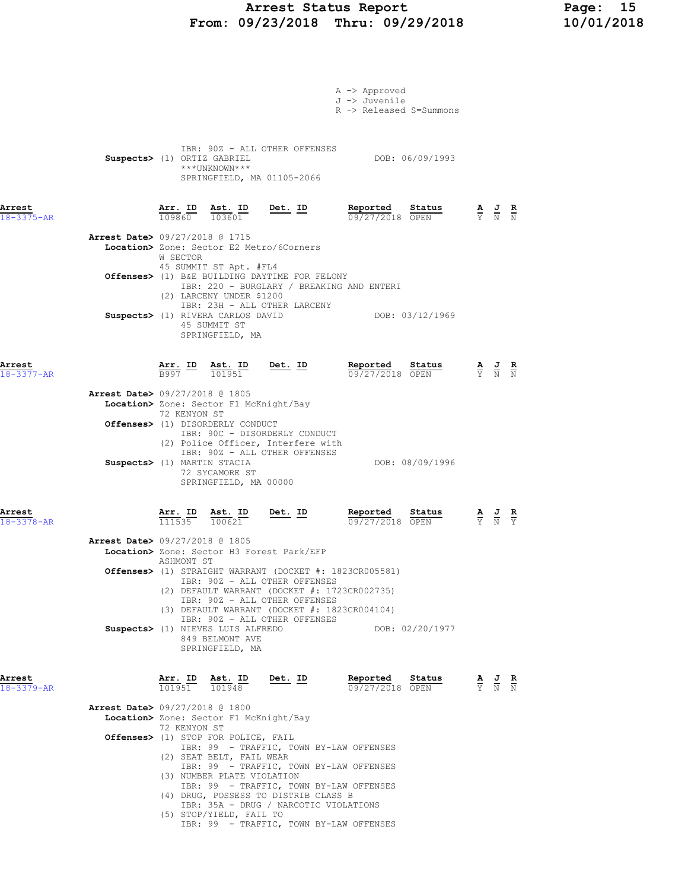# Arrest Status Report Page: 15<br>10/01/2018 Thru: 09/29/2018 10/01/2018 From:  $09/23/2018$  Thru:  $09/29/2018$

|                                          |                                         |                                                                         |                                                                                                                     | A -> Approved<br>J -> Juvenile                                                                                                                          |                 |                                                                                                 |  |
|------------------------------------------|-----------------------------------------|-------------------------------------------------------------------------|---------------------------------------------------------------------------------------------------------------------|---------------------------------------------------------------------------------------------------------------------------------------------------------|-----------------|-------------------------------------------------------------------------------------------------|--|
|                                          |                                         |                                                                         |                                                                                                                     | R -> Released S=Summons                                                                                                                                 |                 |                                                                                                 |  |
| Suspects> (1) ORTIZ GABRIEL              |                                         | ***UNKNOWN***                                                           | IBR: 90Z - ALL OTHER OFFENSES<br>SPRINGFIELD, MA 01105-2066                                                         |                                                                                                                                                         | DOB: 06/09/1993 |                                                                                                 |  |
| Arrest<br>$18 - 3375 - AR$               |                                         |                                                                         | $\frac{\texttt{Arr.}}{109860}$ $\frac{\texttt{ Ast.}}{103601}$ $\frac{\texttt{Det.}}{2020}$                         | Reported Status<br>09/27/2018 OPEN                                                                                                                      |                 | $\frac{\mathbf{A}}{\mathbf{Y}}$ $\frac{\mathbf{J}}{\mathbf{N}}$ $\frac{\mathbf{R}}{\mathbf{N}}$ |  |
| <b>Arrest Date&gt;</b> 09/27/2018 @ 1715 | W SECTOR                                |                                                                         | Location> Zone: Sector E2 Metro/6Corners                                                                            |                                                                                                                                                         |                 |                                                                                                 |  |
|                                          |                                         | 45 SUMMIT ST Apt. #FL4                                                  | Offenses> (1) B&E BUILDING DAYTIME FOR FELONY                                                                       | IBR: 220 - BURGLARY / BREAKING AND ENTERI                                                                                                               |                 |                                                                                                 |  |
|                                          |                                         | (2) LARCENY UNDER \$1200<br>45 SUMMIT ST<br>SPRINGFIELD, MA             | IBR: 23H - ALL OTHER LARCENY<br>Suspects> (1) RIVERA CARLOS DAVID                                                   |                                                                                                                                                         | DOB: 03/12/1969 |                                                                                                 |  |
| Arrest<br>18-3377-AR                     |                                         |                                                                         | $\frac{\texttt{Arr.}}{\texttt{B997}}$ $\frac{\texttt{Ab.}}{\texttt{101951}}$ $\frac{\texttt{Det.}}{\texttt{Delta}}$ | Reported Status<br>09/27/2018 OPEN                                                                                                                      |                 | $\frac{\mathbf{A}}{\mathbf{Y}}$ $\frac{\mathbf{J}}{\mathbf{N}}$ $\frac{\mathbf{R}}{\mathbf{N}}$ |  |
| Arrest Date> 09/27/2018 @ 1805           | 72 KENYON ST                            | Location> Zone: Sector F1 McKnight/Bay                                  |                                                                                                                     |                                                                                                                                                         |                 |                                                                                                 |  |
|                                          |                                         | Offenses> (1) DISORDERLY CONDUCT                                        | IBR: 90C - DISORDERLY CONDUCT<br>(2) Police Officer, Interfere with                                                 |                                                                                                                                                         |                 |                                                                                                 |  |
| Suspects> (1) MARTIN STACIA              |                                         | 72 SYCAMORE ST<br>SPRINGFIELD, MA 00000                                 | IBR: 90Z - ALL OTHER OFFENSES                                                                                       |                                                                                                                                                         | DOB: 08/09/1996 |                                                                                                 |  |
| Arrest<br>$18 - 3378 - AR$               |                                         | $\frac{\texttt{Arr. ID}}{111535}$ $\frac{\texttt{ Ast. ID}}{100621}$    | <u>Det. ID</u>                                                                                                      | Reported Status<br>09/27/2018 OPEN                                                                                                                      |                 | $\frac{\mathbf{A}}{\mathbf{Y}}$ $\frac{\mathbf{J}}{\mathbf{N}}$ $\frac{\mathbf{R}}{\mathbf{Y}}$ |  |
| Arrest Date> 09/27/2018 @ 1805           | ASHMONT ST                              |                                                                         | Location> Zone: Sector H3 Forest Park/EFP                                                                           |                                                                                                                                                         |                 |                                                                                                 |  |
|                                          |                                         |                                                                         | IBR: 90Z - ALL OTHER OFFENSES<br>IBR: 90Z - ALL OTHER OFFENSES                                                      | Offenses> (1) STRAIGHT WARRANT (DOCKET #: 1823CR005581)<br>(2) DEFAULT WARRANT (DOCKET #: 1723CR002735)<br>(3) DEFAULT WARRANT (DOCKET #: 1823CR004104) |                 |                                                                                                 |  |
|                                          |                                         | Suspects> (1) NIEVES LUIS ALFREDO<br>849 BELMONT AVE<br>SPRINGFIELD, MA | IBR: 90Z - ALL OTHER OFFENSES                                                                                       |                                                                                                                                                         | DOB: 02/20/1977 |                                                                                                 |  |
| Arrest<br>$18 - 3379 - AR$               | $\overline{101951}$ $\overline{101948}$ | Arr. ID Ast. ID                                                         | Det. ID                                                                                                             | Reported<br>09/27/2018 OPEN                                                                                                                             | Status          | $\frac{\mathbf{A}}{\mathbf{Y}}$ $\frac{\mathbf{J}}{\mathbf{N}}$ $\frac{\mathbf{R}}{\mathbf{N}}$ |  |
| <b>Arrest Date&gt; 09/27/2018 @ 1800</b> |                                         | Location> Zone: Sector F1 McKnight/Bay                                  |                                                                                                                     |                                                                                                                                                         |                 |                                                                                                 |  |
|                                          | 72 KENYON ST                            | Offenses> (1) STOP FOR POLICE, FAIL                                     |                                                                                                                     |                                                                                                                                                         |                 |                                                                                                 |  |
|                                          |                                         | (2) SEAT BELT, FAIL WEAR                                                |                                                                                                                     | IBR: 99 - TRAFFIC, TOWN BY-LAW OFFENSES                                                                                                                 |                 |                                                                                                 |  |
|                                          |                                         | (3) NUMBER PLATE VIOLATION                                              |                                                                                                                     | IBR: 99 - TRAFFIC, TOWN BY-LAW OFFENSES                                                                                                                 |                 |                                                                                                 |  |
|                                          |                                         |                                                                         | (4) DRUG, POSSESS TO DISTRIB CLASS B<br>IBR: 35A - DRUG / NARCOTIC VIOLATIONS                                       | IBR: 99 - TRAFFIC, TOWN BY-LAW OFFENSES                                                                                                                 |                 |                                                                                                 |  |
|                                          |                                         | (5) STOP/YIELD, FAIL TO                                                 |                                                                                                                     | IBR: 99 - TRAFFIC, TOWN BY-LAW OFFENSES                                                                                                                 |                 |                                                                                                 |  |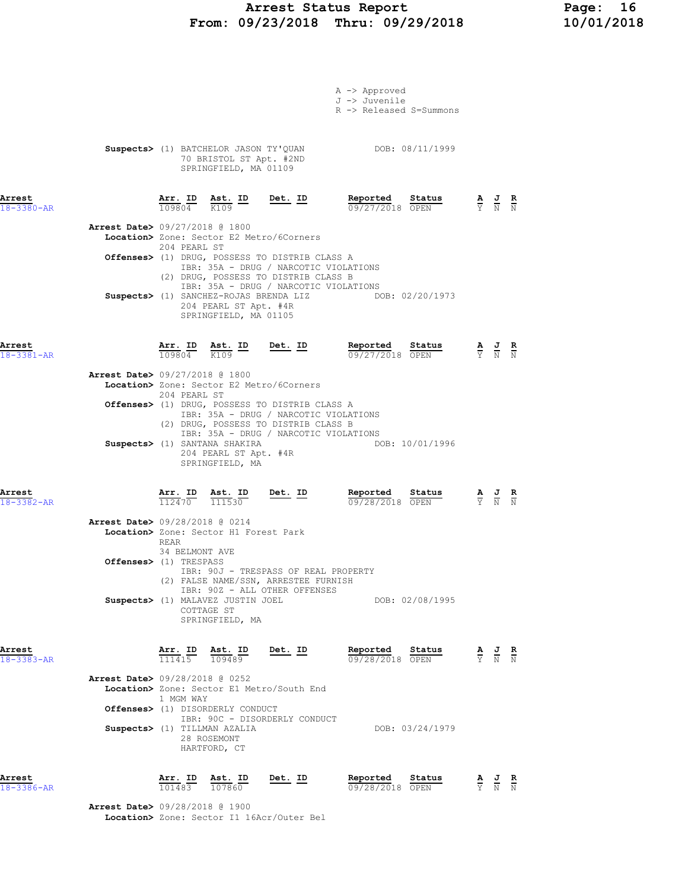# Arrest Status Report Page: 16 From: 09/23/2018 Thru: 09/29/2018

|                                          |                                          |                                                                                          |                                                                                                                        | A -> Approved<br>J -> Juvenile<br>R -> Released S=Summons |                 |                                                                                                 |  |
|------------------------------------------|------------------------------------------|------------------------------------------------------------------------------------------|------------------------------------------------------------------------------------------------------------------------|-----------------------------------------------------------|-----------------|-------------------------------------------------------------------------------------------------|--|
|                                          |                                          | 70 BRISTOL ST Apt. #2ND<br>SPRINGFIELD, MA 01109                                         | Suspects> (1) BATCHELOR JASON TY'QUAN DOB: 08/11/1999                                                                  |                                                           |                 |                                                                                                 |  |
| Arrest<br>$18 - 3380 - AR$               | Arr. ID<br>$\frac{10980}{4}$             | $\frac{\text{Ast.}}{K109}$ ID                                                            | <u>Det.</u> ID                                                                                                         | Reported<br>09/27/2018 OPEN                               | Status          | $\frac{\mathbf{A}}{\mathbf{Y}}$ $\frac{\mathbf{J}}{\mathbf{N}}$ $\frac{\mathbf{R}}{\mathbf{N}}$ |  |
| Arrest Date> 09/27/2018 @ 1800           | 204 PEARL ST                             |                                                                                          | Location> Zone: Sector E2 Metro/6Corners                                                                               |                                                           |                 |                                                                                                 |  |
|                                          |                                          |                                                                                          | Offenses> (1) DRUG, POSSESS TO DISTRIB CLASS A                                                                         |                                                           |                 |                                                                                                 |  |
|                                          |                                          | Suspects> (1) SANCHEZ-ROJAS BRENDA LIZ<br>204 PEARL ST Apt. #4R<br>SPRINGFIELD, MA 01105 | IBR: 35A - DRUG / NARCOTIC VIOLATIONS<br>(2) DRUG, POSSESS TO DISTRIB CLASS B<br>IBR: 35A - DRUG / NARCOTIC VIOLATIONS |                                                           | DOB: 02/20/1973 |                                                                                                 |  |
| Arrest<br>18-3381-AR                     | Arr. ID<br>109804                        | Ast. ID<br>$\frac{1}{K109}$<br>K109                                                      | <u>Det. ID</u>                                                                                                         | Reported<br>09/27/2018 OPEN                               | Status          | $\frac{\mathbf{A}}{\mathbf{Y}}$ $\frac{\mathbf{J}}{\mathbf{N}}$ $\frac{\mathbf{R}}{\mathbf{N}}$ |  |
| <b>Arrest Date&gt; 09/27/2018 @ 1800</b> | 204 PEARL ST                             |                                                                                          | Location> Zone: Sector E2 Metro/6Corners                                                                               |                                                           |                 |                                                                                                 |  |
|                                          |                                          |                                                                                          | Offenses> (1) DRUG, POSSESS TO DISTRIB CLASS A                                                                         |                                                           |                 |                                                                                                 |  |
|                                          |                                          | Suspects> (1) SANTANA SHAKIRA<br>204 PEARL ST Apt. #4R<br>SPRINGFIELD, MA                | IBR: 35A - DRUG / NARCOTIC VIOLATIONS<br>(2) DRUG, POSSESS TO DISTRIB CLASS B<br>IBR: 35A - DRUG / NARCOTIC VIOLATIONS |                                                           | DOB: 10/01/1996 |                                                                                                 |  |
| Arrest<br>$18 - 3382 - AR$               | <u>Arr. ID</u><br>112470                 | $\frac{\text{Ast.}}{111530}$                                                             | <u>Det. ID</u>                                                                                                         | Reported<br>09/28/2018 OPEN                               | Status          | $\frac{\mathbf{A}}{\mathbf{Y}}$ $\frac{\mathbf{J}}{\mathbf{N}}$ $\frac{\mathbf{R}}{\mathbf{N}}$ |  |
| Arrest Date> 09/28/2018 @ 0214           | REAR                                     | Location> Zone: Sector H1 Forest Park                                                    |                                                                                                                        |                                                           |                 |                                                                                                 |  |
|                                          | 34 BELMONT AVE<br>Offenses> (1) TRESPASS |                                                                                          | IBR: 90J - TRESPASS OF REAL PROPERTY                                                                                   |                                                           |                 |                                                                                                 |  |
|                                          |                                          | Suspects> (1) MALAVEZ JUSTIN JOEL<br>COTTAGE ST<br>SPRINGFIELD, MA                       | (2) FALSE NAME/SSN, ARRESTEE FURNISH<br>IBR: 90Z - ALL OTHER OFFENSES                                                  |                                                           | DOB: 02/08/1995 |                                                                                                 |  |
| Arrest<br>$18 - 3383 - AR$               | Arr. ID<br>111415                        | Ast. ID<br>109489                                                                        | Det. ID                                                                                                                | Reported<br>09/28/2018 OPEN                               | Status          | $\frac{\mathbf{A}}{\mathbf{Y}}$ $\frac{\mathbf{J}}{\mathbf{N}}$ $\frac{\mathbf{R}}{\mathbf{N}}$ |  |
| <b>Arrest Date&gt;</b> 09/28/2018 @ 0252 | 1 MGM WAY                                | Offenses> (1) DISORDERLY CONDUCT                                                         | Location> Zone: Sector E1 Metro/South End                                                                              |                                                           |                 |                                                                                                 |  |
|                                          |                                          | Suspects> (1) TILLMAN AZALIA<br>28 ROSEMONT                                              | IBR: 90C - DISORDERLY CONDUCT                                                                                          |                                                           | DOB: 03/24/1979 |                                                                                                 |  |
|                                          |                                          | HARTFORD, CT                                                                             |                                                                                                                        |                                                           |                 |                                                                                                 |  |

Arrest Date> 09/28/2018 @ 1900 Location> Zone: Sector I1 16Acr/Outer Bel

Arrest Arr. ID Ast. ID Det. ID Reported Status A J R 18-3386-AR 101483 107860 09/28/2018 OPEN Y N N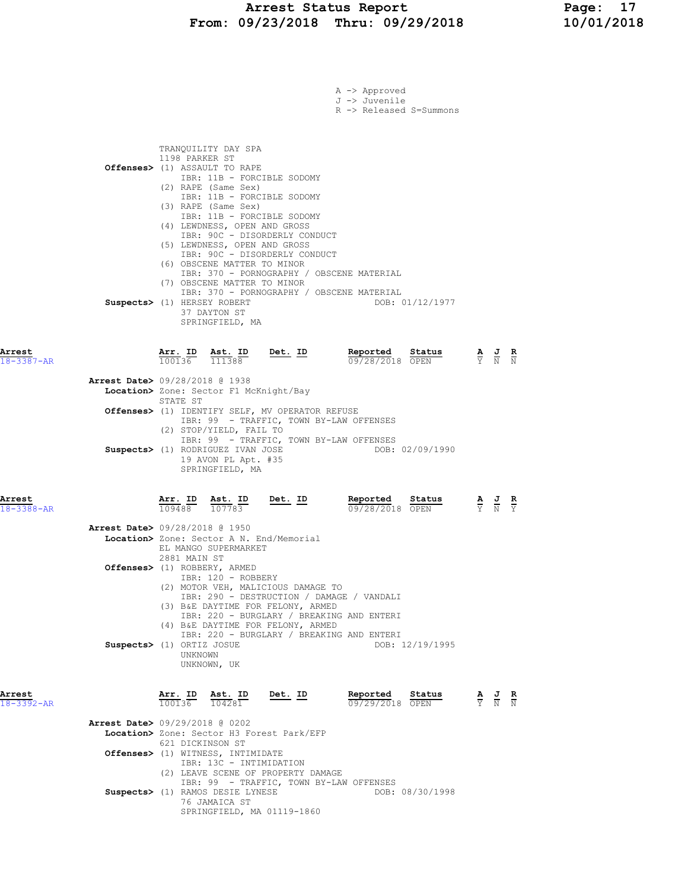|                            | A -> Approved<br>J -> Juvenile<br>R -> Released S=Summons                                                                                                                                                                                                                                                                                                            |                                                                                                  |
|----------------------------|----------------------------------------------------------------------------------------------------------------------------------------------------------------------------------------------------------------------------------------------------------------------------------------------------------------------------------------------------------------------|--------------------------------------------------------------------------------------------------|
|                            | TRANQUILITY DAY SPA<br>1198 PARKER ST<br>Offenses> (1) ASSAULT TO RAPE<br>IBR: 11B - FORCIBLE SODOMY<br>(2) RAPE (Same Sex)<br>IBR: 11B - FORCIBLE SODOMY<br>(3) RAPE (Same Sex)<br>IBR: 11B - FORCIBLE SODOMY<br>(4) LEWDNESS, OPEN AND GROSS<br>IBR: 90C - DISORDERLY CONDUCT<br>(5) LEWDNESS, OPEN AND GROSS                                                      |                                                                                                  |
|                            | IBR: 90C - DISORDERLY CONDUCT<br>(6) OBSCENE MATTER TO MINOR<br>IBR: 370 - PORNOGRAPHY / OBSCENE MATERIAL<br>(7) OBSCENE MATTER TO MINOR<br>IBR: 370 - PORNOGRAPHY / OBSCENE MATERIAL<br>Suspects> (1) HERSEY ROBERT<br>DOB: 01/12/1977<br>37 DAYTON ST<br>SPRINGFIELD, MA                                                                                           |                                                                                                  |
| Arrest<br>18-3387-AR       | <u>Arr.</u> ID<br><u>Det. ID</u><br>Reported<br>Status<br><u>Ast. ID</u><br>111388<br>100136<br>09/28/2018 OPEN                                                                                                                                                                                                                                                      | $\frac{\mathbf{A}}{\mathbf{Y}}$ $\frac{\mathbf{J}}{\mathbf{N}}$<br>$\frac{\mathbf{R}}{N}$        |
|                            | <b>Arrest Date&gt;</b> 09/28/2018 @ 1938<br>Location> Zone: Sector F1 McKnight/Bay                                                                                                                                                                                                                                                                                   |                                                                                                  |
|                            | STATE ST<br>Offenses> (1) IDENTIFY SELF, MV OPERATOR REFUSE<br>IBR: 99 - TRAFFIC, TOWN BY-LAW OFFENSES                                                                                                                                                                                                                                                               |                                                                                                  |
|                            | (2) STOP/YIELD, FAIL TO<br>IBR: 99 - TRAFFIC, TOWN BY-LAW OFFENSES<br>Suspects> (1) RODRIGUEZ IVAN JOSE<br>DOB: 02/09/1990<br>19 AVON PL Apt. #35<br>SPRINGFIELD, MA                                                                                                                                                                                                 |                                                                                                  |
| Arrest<br>18-3388-AR       | Arr. ID Ast. ID<br>Reported<br>Det. ID<br>Status<br>109488<br>107783<br>09/28/2018 OPEN                                                                                                                                                                                                                                                                              | $\frac{\mathbf{A}}{\mathbf{Y}}$ $\frac{\mathbf{J}}{\mathbf{N}}$<br>$rac{\mathbf{R}}{\mathbf{Y}}$ |
|                            | <b>Arrest Date&gt;</b> 09/28/2018 @ 1950<br>Location> Zone: Sector A N. End/Memorial<br>EL MANGO SUPERMARKET<br>2881 MAIN ST                                                                                                                                                                                                                                         |                                                                                                  |
|                            | Offenses> (1) ROBBERY, ARMED<br>IBR: 120 - ROBBERY<br>(2) MOTOR VEH, MALICIOUS DAMAGE TO<br>IBR: 290 - DESTRUCTION / DAMAGE / VANDALI<br>(3) B&E DAYTIME FOR FELONY, ARMED<br>IBR: 220 - BURGLARY / BREAKING AND ENTERI<br>(4) B&E DAYTIME FOR FELONY, ARMED<br>IBR: 220 - BURGLARY / BREAKING AND ENTERI<br>Suspects> (1) ORTIZ JOSUE<br>DOB: 12/19/1995<br>UNKNOWN |                                                                                                  |
| Arrest<br>$18 - 3392 - AR$ | UNKNOWN, UK<br>$\frac{\texttt{Arr.}}{100136}$ $\frac{\texttt{ Ast.}}{104281}$<br>$Det. ID$<br>Reported<br><b>Status</b><br>09/29/2018 OPEN                                                                                                                                                                                                                           | $\frac{\mathbf{A}}{\mathbf{Y}}$ $\frac{\mathbf{J}}{\mathbf{N}}$ $\frac{\mathbf{R}}{\mathbf{N}}$  |
|                            | <b>Arrest Date&gt;</b> 09/29/2018 @ 0202<br>Location> Zone: Sector H3 Forest Park/EFP<br>621 DICKINSON ST<br><b>Offenses&gt;</b> (1) WITNESS, INTIMIDATE<br>IBR: 13C - INTIMIDATION<br>(2) LEAVE SCENE OF PROPERTY DAMAGE                                                                                                                                            |                                                                                                  |
|                            | IBR: 99 - TRAFFIC, TOWN BY-LAW OFFENSES<br>Suspects> (1) RAMOS DESIE LYNESE<br>DOB: 08/30/1998<br>76 JAMAICA ST<br>SPRINGFIELD, MA 01119-1860                                                                                                                                                                                                                        |                                                                                                  |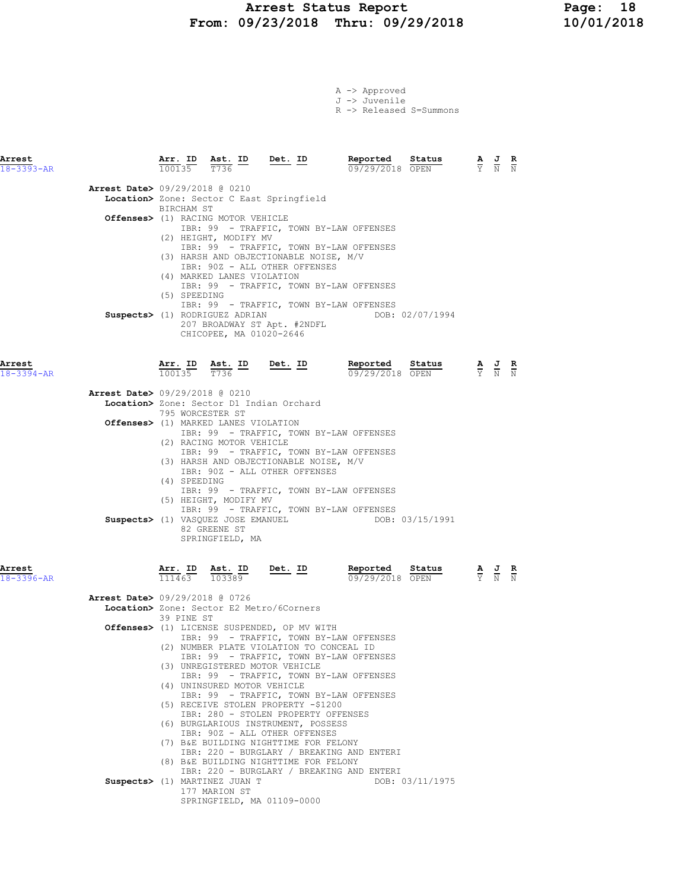### Arrest Status Report Page: 18 From: 09/23/2018 Thru: 09/29/2018 10/01/2018

|  | $A \rightarrow$ Approved |                         |
|--|--------------------------|-------------------------|
|  | J -> Juvenile            |                         |
|  |                          | R -> Released S=Summons |

| Arrest<br>$18 - 3393 - AR$               |                                  |                                                                                                                                       | $\frac{\texttt{Arr. ID}}{100135}$ $\frac{\texttt{ Ast. ID}}{T736}$ $\frac{\texttt{Det. ID}}{T736}$                                                                                                                                                                                                                                                                | Reported                                                                                                                                                                                                                                                           | Status<br>$\frac{2\text{cvalues}}{09/29/2018}$ |                                                                                                 | $\frac{\mathbf{A}}{\mathbf{Y}}$ $\frac{\mathbf{J}}{\mathbf{N}}$ $\frac{\mathbf{R}}{\mathbf{N}}$       |  |
|------------------------------------------|----------------------------------|---------------------------------------------------------------------------------------------------------------------------------------|-------------------------------------------------------------------------------------------------------------------------------------------------------------------------------------------------------------------------------------------------------------------------------------------------------------------------------------------------------------------|--------------------------------------------------------------------------------------------------------------------------------------------------------------------------------------------------------------------------------------------------------------------|------------------------------------------------|-------------------------------------------------------------------------------------------------|-------------------------------------------------------------------------------------------------------|--|
| Arrest Date> 09/29/2018 @ 0210           | BIRCHAM ST                       |                                                                                                                                       | Location> Zone: Sector C East Springfield                                                                                                                                                                                                                                                                                                                         |                                                                                                                                                                                                                                                                    |                                                |                                                                                                 |                                                                                                       |  |
|                                          | (5) SPEEDING                     | Offenses> (1) RACING MOTOR VEHICLE<br>(2) HEIGHT, MODIFY MV<br>(4) MARKED LANES VIOLATION<br><b>Suspects&gt;</b> (1) RODRIGUEZ ADRIAN | (3) HARSH AND OBJECTIONABLE NOISE, M/V<br>IBR: 90Z - ALL OTHER OFFENSES<br>207 BROADWAY ST Apt. #2NDFL                                                                                                                                                                                                                                                            | IBR: 99 - TRAFFIC, TOWN BY-LAW OFFENSES<br>IBR: 99 - TRAFFIC, TOWN BY-LAW OFFENSES<br>IBR: 99 - TRAFFIC, TOWN BY-LAW OFFENSES<br>IBR: 99 - TRAFFIC, TOWN BY-LAW OFFENSES                                                                                           | DOB: 02/07/1994                                |                                                                                                 |                                                                                                       |  |
| Arrest<br>18-3394-AR                     | $100135$ $T736$                  | CHICOPEE, MA 01020-2646                                                                                                               |                                                                                                                                                                                                                                                                                                                                                                   | <b>Arr. ID</b> Ast. ID Det. ID Reported Status 100135 $\frac{1}{100135}$ $\frac{1}{100135}$<br>09/29/2018 OPEN                                                                                                                                                     |                                                |                                                                                                 | $\frac{\mathbf{A}}{\overline{Y}}$ $\frac{\mathbf{J}}{\overline{N}}$ $\frac{\mathbf{R}}{\overline{N}}$ |  |
| <b>Arrest Date&gt;</b> 09/29/2018 @ 0210 |                                  |                                                                                                                                       | Location> Zone: Sector D1 Indian Orchard                                                                                                                                                                                                                                                                                                                          |                                                                                                                                                                                                                                                                    |                                                |                                                                                                 |                                                                                                       |  |
|                                          | 795 WORCESTER ST<br>(4) SPEEDING | <b>Offenses&gt;</b> (1) MARKED LANES VIOLATION<br>(2) RACING MOTOR VEHICLE<br>(5) HEIGHT, MODIFY MV                                   | (3) HARSH AND OBJECTIONABLE NOISE, M/V<br>IBR: 90Z - ALL OTHER OFFENSES                                                                                                                                                                                                                                                                                           | IBR: 99 - TRAFFIC, TOWN BY-LAW OFFENSES<br>IBR: 99 - TRAFFIC, TOWN BY-LAW OFFENSES<br>IBR: 99 - TRAFFIC, TOWN BY-LAW OFFENSES<br>IBR: 99 - TRAFFIC, TOWN BY-LAW OFFENSES                                                                                           |                                                |                                                                                                 |                                                                                                       |  |
| Arrest<br>$18 - 3396 - AR$               | <u>Arr. ID</u>                   | Suspects> (1) VASQUEZ JOSE EMANUEL<br>82 GREENE ST<br>SPRINGFIELD, MA<br><u>Ast. ID</u><br>111463 103389                              | <u>Det.</u> ID                                                                                                                                                                                                                                                                                                                                                    | DOB: 03/15/1991<br>Reported<br>09/29/2018 OPEN                                                                                                                                                                                                                     | $\frac{\texttt{Status}}{\text{OPTN}}$          | $\frac{\mathbf{A}}{\mathbf{Y}}$ $\frac{\mathbf{J}}{\mathbf{N}}$ $\frac{\mathbf{R}}{\mathbf{N}}$ |                                                                                                       |  |
| Arrest Date> 09/29/2018 @ 0726           |                                  |                                                                                                                                       | Location> Zone: Sector E2 Metro/6Corners                                                                                                                                                                                                                                                                                                                          |                                                                                                                                                                                                                                                                    |                                                |                                                                                                 |                                                                                                       |  |
|                                          | 39 PINE ST                       | (4) UNINSURED MOTOR VEHICLE                                                                                                           | Offenses> (1) LICENSE SUSPENDED, OP MV WITH<br>(2) NUMBER PLATE VIOLATION TO CONCEAL ID<br>(3) UNREGISTERED MOTOR VEHICLE<br>(5) RECEIVE STOLEN PROPERTY -\$1200<br>IBR: 280 - STOLEN PROPERTY OFFENSES<br>(6) BURGLARIOUS INSTRUMENT, POSSESS<br>IBR: 90Z - ALL OTHER OFFENSES<br>(7) B&E BUILDING NIGHTTIME FOR FELONY<br>(8) B&E BUILDING NIGHTTIME FOR FELONY | IBR: 99 - TRAFFIC, TOWN BY-LAW OFFENSES<br>IBR: 99 - TRAFFIC, TOWN BY-LAW OFFENSES<br>IBR: 99 - TRAFFIC, TOWN BY-LAW OFFENSES<br>IBR: 99 - TRAFFIC, TOWN BY-LAW OFFENSES<br>IBR: 220 - BURGLARY / BREAKING AND ENTERI<br>IBR: 220 - BURGLARY / BREAKING AND ENTERI |                                                |                                                                                                 |                                                                                                       |  |
|                                          |                                  | Suspects> (1) MARTINEZ JUAN T<br>177 MARION ST                                                                                        | SPRINGFIELD, MA 01109-0000                                                                                                                                                                                                                                                                                                                                        |                                                                                                                                                                                                                                                                    | DOB: 03/11/1975                                |                                                                                                 |                                                                                                       |  |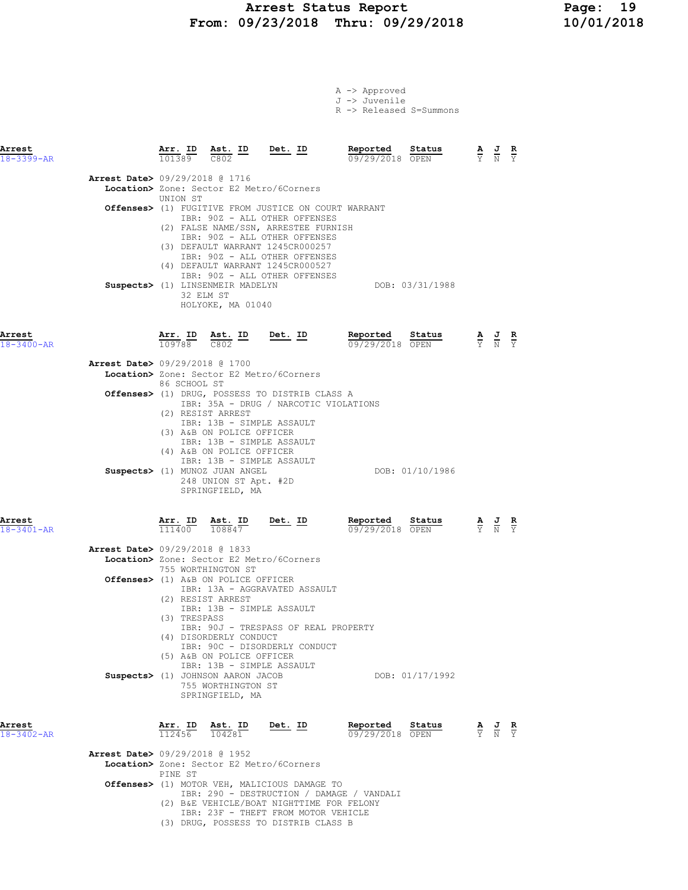### Arrest Status Report Page: 19 From: 09/23/2018 Thru: 09/29/2018 10/01/2018

| A -> Approved |                         |
|---------------|-------------------------|
| J -> Juvenile |                         |
|               | R -> Released S=Summons |

| Arrest<br>$18 - 3399 - AR$ |                                          |                                                                     |                                                                                                                                                                                                                             | $\frac{\texttt{Arr.}}{101389}$ $\frac{\texttt{ Ast.}}{\texttt{C802}}$ $\frac{\texttt{ID}}{\texttt{D}}$ $\frac{\texttt{Det.}}{\texttt{D}}$                                                                                                                                                                                                            | Reported                           | Status<br>$\frac{52018}{09/29/2018}$ OPEN | $\frac{\mathbf{A}}{\mathbf{Y}}$ $\frac{\mathbf{J}}{\mathbf{N}}$ $\frac{\mathbf{R}}{\mathbf{Y}}$ |  |
|----------------------------|------------------------------------------|---------------------------------------------------------------------|-----------------------------------------------------------------------------------------------------------------------------------------------------------------------------------------------------------------------------|------------------------------------------------------------------------------------------------------------------------------------------------------------------------------------------------------------------------------------------------------------------------------------------------------------------------------------------------------|------------------------------------|-------------------------------------------|-------------------------------------------------------------------------------------------------|--|
|                            | Arrest Date> 09/29/2018 @ 1716           | UNION ST<br>32 ELM ST                                               | Suspects> (1) LINSENMEIR MADELYN                                                                                                                                                                                            | Location> Zone: Sector E2 Metro/6Corners<br>Offenses> (1) FUGITIVE FROM JUSTICE ON COURT WARRANT<br>IBR: 90Z - ALL OTHER OFFENSES<br>(2) FALSE NAME/SSN, ARRESTEE FURNISH<br>IBR: 90Z - ALL OTHER OFFENSES<br>(3) DEFAULT WARRANT 1245CR000257<br>IBR: 90Z - ALL OTHER OFFENSES<br>(4) DEFAULT WARRANT 1245CR000527<br>IBR: 90Z - ALL OTHER OFFENSES |                                    | DOB: 03/31/1988                           |                                                                                                 |  |
| Arrest<br>18-3400-AR       | <b>Arrest Date&gt;</b> 09/29/2018 @ 1700 | 86 SCHOOL ST                                                        | HOLYOKE, MA 01040<br>$\frac{\texttt{Arr. ID}}{109788}$ $\frac{\texttt{ Ast. ID}}{C802}$ $\frac{\texttt{Det. ID}}{C802}$                                                                                                     | Location> Zone: Sector E2 Metro/6Corners<br>Offenses> (1) DRUG, POSSESS TO DISTRIB CLASS A<br>IBR: 35A - DRUG / NARCOTIC VIOLATIONS                                                                                                                                                                                                                  | Reported<br>09/29/2018 OPEN        | Status                                    | $\frac{\mathbf{A}}{\mathbf{Y}}$ $\frac{\mathbf{J}}{\mathbf{N}}$ $\frac{\mathbf{R}}{\mathbf{Y}}$ |  |
|                            |                                          | (2) RESIST ARREST                                                   | IBR: 13B - SIMPLE ASSAULT<br>(3) A&B ON POLICE OFFICER<br>IBR: 13B - SIMPLE ASSAULT<br>(4) A&B ON POLICE OFFICER<br>IBR: 13B - SIMPLE ASSAULT<br>Suspects> (1) MUNOZ JUAN ANGEL<br>248 UNION ST Apt. #2D<br>SPRINGFIELD, MA |                                                                                                                                                                                                                                                                                                                                                      |                                    | DOB: 01/10/1986                           |                                                                                                 |  |
| Arrest<br>$18 - 3401 - AR$ | <b>Arrest Date&gt;</b> 09/29/2018 @ 1833 | $\frac{\texttt{Arr.}}{111400}$<br>(2) RESIST ARREST<br>(3) TRESPASS | $\frac{\texttt{Ast.}}{108847}$ Det. ID<br>755 WORTHINGTON ST<br><b>Offenses&gt;</b> (1) A&B ON POLICE OFFICER<br>IBR: 13B - SIMPLE ASSAULT                                                                                  | Location> Zone: Sector E2 Metro/6Corners<br>IBR: 13A - AGGRAVATED ASSAULT                                                                                                                                                                                                                                                                            | <u>Reported</u><br>09/29/2018 OPEN | Status                                    | $\frac{\mathbf{A}}{\mathbf{Y}}$ $\frac{\mathbf{J}}{\mathbf{N}}$ $\frac{\mathbf{R}}{\mathbf{Y}}$ |  |
|                            |                                          |                                                                     | (4) DISORDERLY CONDUCT<br>(5) A&B ON POLICE OFFICER<br>IBR: 13B - SIMPLE ASSAULT<br>Suspects> (1) JOHNSON AARON JACOB<br>755 WORTHINGTON ST<br>SPRINGFIELD, MA                                                              | IBR: 90J - TRESPASS OF REAL PROPERTY<br>IBR: 90C - DISORDERLY CONDUCT                                                                                                                                                                                                                                                                                |                                    | DOB: 01/17/1992                           |                                                                                                 |  |
| Arrest<br>$18 - 3402 - AR$ | Arrest Date> 09/29/2018 @ 1952           | Arr. I <u>D</u><br>112456<br>PINE ST                                | Ast. ID<br>104281                                                                                                                                                                                                           | Det. ID<br>Location> Zone: Sector E2 Metro/6Corners<br>Offenses> (1) MOTOR VEH, MALICIOUS DAMAGE TO<br>IBR: 290 - DESTRUCTION / DAMAGE / VANDALI<br>(2) B&E VEHICLE/BOAT NIGHTTIME FOR FELONY<br>IBR: 23F - THEFT FROM MOTOR VEHICLE<br>(3) DRUG, POSSESS TO DISTRIB CLASS B                                                                         | Reported<br>09/29/2018 OPEN        | Status                                    | $\frac{\mathbf{A}}{\mathbf{Y}}$ $\frac{\mathbf{J}}{\mathbf{N}}$ $\frac{\mathbf{R}}{\mathbf{Y}}$ |  |